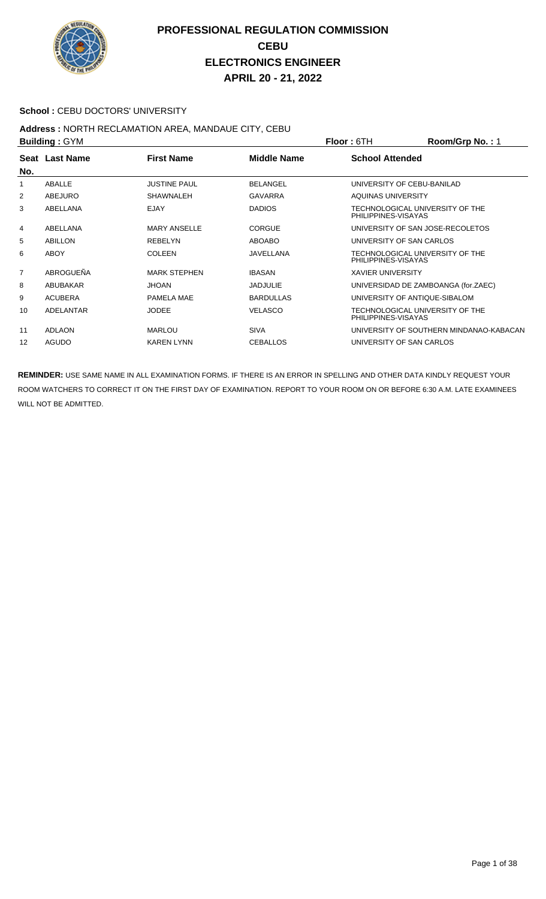

#### School : CEBU DOCTORS' UNIVERSITY

#### **Address :** NORTH RECLAMATION AREA, MANDAUE CITY, CEBU **Building :** GYM **Floor :** 6TH **Room/Grp No. :** 1

| <b>DUILUILLY . OT IVE</b> |                     |                    | FIUUI.UII<br><u>NUUIIIUIU NU. . I</u>                  |
|---------------------------|---------------------|--------------------|--------------------------------------------------------|
| Seat Last Name            | <b>First Name</b>   | <b>Middle Name</b> | <b>School Attended</b>                                 |
|                           |                     |                    |                                                        |
| ABALLE                    | <b>JUSTINE PAUL</b> | <b>BELANGEL</b>    | UNIVERSITY OF CEBU-BANILAD                             |
| ABEJURO                   | <b>SHAWNALEH</b>    | <b>GAVARRA</b>     | AQUINAS UNIVERSITY                                     |
| ABELLANA                  | <b>EJAY</b>         | <b>DADIOS</b>      | TECHNOLOGICAL UNIVERSITY OF THE<br>PHILIPPINES-VISAYAS |
| ABELLANA                  | <b>MARY ANSELLE</b> | <b>CORGUE</b>      | UNIVERSITY OF SAN JOSE-RECOLETOS                       |
| <b>ABILLON</b>            | <b>REBELYN</b>      | ABOABO             | UNIVERSITY OF SAN CARLOS                               |
| ABOY                      | <b>COLEEN</b>       | JAVELLANA          | TECHNOLOGICAL UNIVERSITY OF THE<br>PHILIPPINES-VISAYAS |
| ABROGUEÑA                 | <b>MARK STEPHEN</b> | <b>IBASAN</b>      | <b>XAVIER UNIVERSITY</b>                               |
| ABUBAKAR                  | <b>JHOAN</b>        | <b>JADJULIE</b>    | UNIVERSIDAD DE ZAMBOANGA (for.ZAEC)                    |
| <b>ACUBERA</b>            | PAMELA MAE          | <b>BARDULLAS</b>   | UNIVERSITY OF ANTIQUE-SIBALOM                          |
| ADELANTAR                 | <b>JODEE</b>        | <b>VELASCO</b>     | TECHNOLOGICAL UNIVERSITY OF THE<br>PHILIPPINES-VISAYAS |
| <b>ADLAON</b>             | <b>MARLOU</b>       | <b>SIVA</b>        | UNIVERSITY OF SOUTHERN MINDANAO-KABACAN                |
| AGUDO                     | <b>KAREN LYNN</b>   | <b>CEBALLOS</b>    | UNIVERSITY OF SAN CARLOS                               |
|                           |                     |                    |                                                        |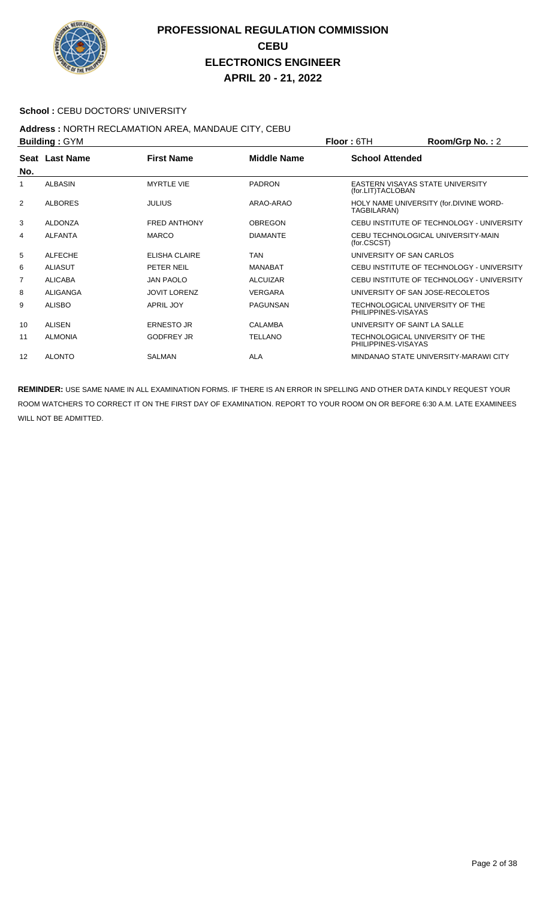

#### School : CEBU DOCTORS' UNIVERSITY

#### **Address :** NORTH RECLAMATION AREA, MANDAUE CITY, CEBU **Building :** GYM **Floor :** 6TH **Room/Grp No. :** 2

|                | <b>DUILUILLY . JIM</b> |                     |                    | FIUUI. OIN                                             | <b>RUUIII/UI D NU.</b> . Z                |
|----------------|------------------------|---------------------|--------------------|--------------------------------------------------------|-------------------------------------------|
| No.            | Seat Last Name         | <b>First Name</b>   | <b>Middle Name</b> | <b>School Attended</b>                                 |                                           |
| 1              | <b>ALBASIN</b>         | <b>MYRTLE VIE</b>   | <b>PADRON</b>      | (for.LIT)TACLOBAN                                      | EASTERN VISAYAS STATE UNIVERSITY          |
| 2              | <b>ALBORES</b>         | <b>JULIUS</b>       | ARAO-ARAO          | TAGBILARAN)                                            | HOLY NAME UNIVERSITY (for.DIVINE WORD-    |
| 3              | <b>ALDONZA</b>         | <b>FRED ANTHONY</b> | <b>OBREGON</b>     |                                                        | CEBU INSTITUTE OF TECHNOLOGY - UNIVERSITY |
| 4              | <b>ALFANTA</b>         | <b>MARCO</b>        | <b>DIAMANTE</b>    | (for.CSCST)                                            | CEBU TECHNOLOGICAL UNIVERSITY-MAIN        |
| 5              | <b>ALFECHE</b>         | ELISHA CLAIRE       | <b>TAN</b>         |                                                        | UNIVERSITY OF SAN CARLOS                  |
| 6              | <b>ALIASUT</b>         | PETER NEIL          | <b>MANABAT</b>     |                                                        | CEBU INSTITUTE OF TECHNOLOGY - UNIVERSITY |
| $\overline{7}$ | <b>ALICABA</b>         | <b>JAN PAOLO</b>    | <b>ALCUIZAR</b>    |                                                        | CEBU INSTITUTE OF TECHNOLOGY - UNIVERSITY |
| 8              | ALIGANGA               | <b>JOVIT LORENZ</b> | <b>VERGARA</b>     |                                                        | UNIVERSITY OF SAN JOSE-RECOLETOS          |
| 9              | <b>ALISBO</b>          | <b>APRIL JOY</b>    | <b>PAGUNSAN</b>    | PHILIPPINES-VISAYAS                                    | TECHNOLOGICAL UNIVERSITY OF THE           |
| 10             | <b>ALISEN</b>          | <b>ERNESTO JR</b>   | <b>CALAMBA</b>     |                                                        | UNIVERSITY OF SAINT LA SALLE              |
| 11             | <b>ALMONIA</b>         | <b>GODFREY JR</b>   | <b>TELLANO</b>     | TECHNOLOGICAL UNIVERSITY OF THE<br>PHILIPPINES-VISAYAS |                                           |
| 12             | <b>ALONTO</b>          | <b>SALMAN</b>       | ALA                |                                                        | MINDANAO STATE UNIVERSITY-MARAWI CITY     |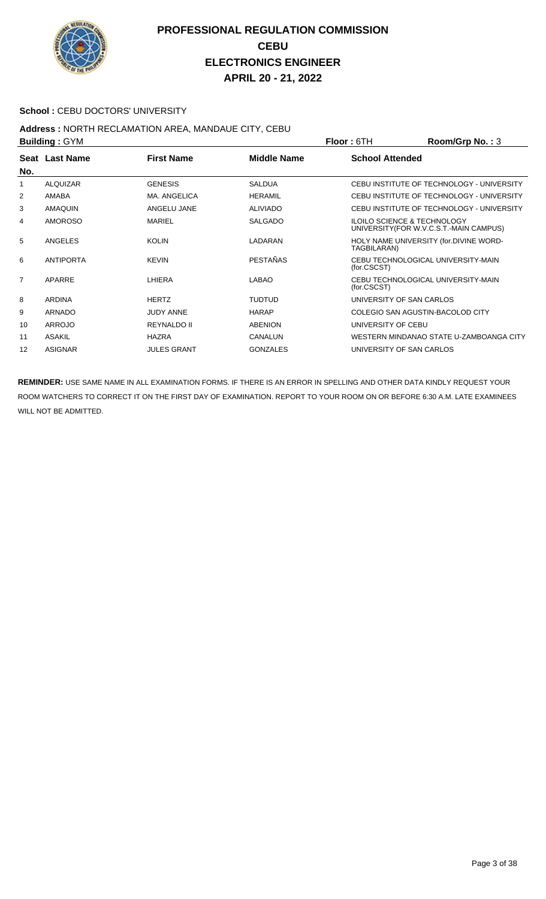

#### **School : CEBU DOCTORS' UNIVERSITY**

### **Address :** NORTH RECLAMATION AREA, MANDAUE CITY, CEBU

| <b>Building: GYM</b> |                  |                    |                    | Room/Grp No.: 3<br><b>Floor: 6TH</b>                                              |
|----------------------|------------------|--------------------|--------------------|-----------------------------------------------------------------------------------|
| No.                  | Seat Last Name   | <b>First Name</b>  | <b>Middle Name</b> | <b>School Attended</b>                                                            |
| 1                    | <b>ALQUIZAR</b>  | <b>GENESIS</b>     | <b>SALDUA</b>      | CEBU INSTITUTE OF TECHNOLOGY - UNIVERSITY                                         |
| 2                    | AMABA            | MA. ANGELICA       | <b>HERAMIL</b>     | CEBU INSTITUTE OF TECHNOLOGY - UNIVERSITY                                         |
| 3                    | <b>AMAQUIN</b>   | ANGELU JANE        | <b>ALIVIADO</b>    | CEBU INSTITUTE OF TECHNOLOGY - UNIVERSITY                                         |
| 4                    | <b>AMOROSO</b>   | MARIEL             | <b>SALGADO</b>     | <b>ILOILO SCIENCE &amp; TECHNOLOGY</b><br>UNIVERSITY (FOR W.V.C.S.T.-MAIN CAMPUS) |
| 5                    | <b>ANGELES</b>   | <b>KOLIN</b>       | LADARAN            | HOLY NAME UNIVERSITY (for.DIVINE WORD-<br>TAGBILARAN)                             |
| 6                    | <b>ANTIPORTA</b> | <b>KEVIN</b>       | <b>PESTAÑAS</b>    | CEBU TECHNOLOGICAL UNIVERSITY-MAIN<br>(for.CSCST)                                 |
| $\overline{7}$       | APARRE           | LHIERA             | LABAO              | CEBU TECHNOLOGICAL UNIVERSITY-MAIN<br>(for.CSCST)                                 |
| 8                    | <b>ARDINA</b>    | <b>HERTZ</b>       | <b>TUDTUD</b>      | UNIVERSITY OF SAN CARLOS                                                          |
| 9                    | ARNADO           | <b>JUDY ANNE</b>   | <b>HARAP</b>       | COLEGIO SAN AGUSTIN-BACOLOD CITY                                                  |
| 10                   | <b>ARROJO</b>    | REYNALDO II        | <b>ABENION</b>     | UNIVERSITY OF CEBU                                                                |
| 11                   | <b>ASAKIL</b>    | <b>HAZRA</b>       | CANALUN            | WESTERN MINDANAO STATE U-ZAMBOANGA CITY                                           |
| $12 \overline{ }$    | <b>ASIGNAR</b>   | <b>JULES GRANT</b> | <b>GONZALES</b>    | UNIVERSITY OF SAN CARLOS                                                          |
|                      |                  |                    |                    |                                                                                   |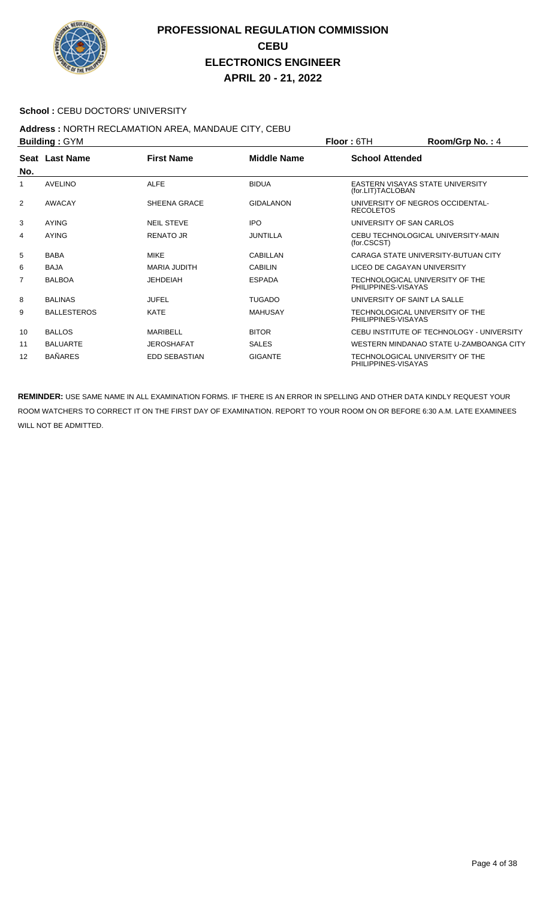

#### School : CEBU DOCTORS' UNIVERSITY

## **Address :** NORTH RECLAMATION AREA, MANDAUE CITY, CEBU

| <b>Building: GYM</b> |                       |                      |                    | Room/Grp No.: 4<br><b>Floor: 6TH</b>                   |
|----------------------|-----------------------|----------------------|--------------------|--------------------------------------------------------|
| No.                  | <b>Seat Last Name</b> | <b>First Name</b>    | <b>Middle Name</b> | <b>School Attended</b>                                 |
| 1                    | <b>AVELINO</b>        | <b>ALFE</b>          | <b>BIDUA</b>       | EASTERN VISAYAS STATE UNIVERSITY<br>(for.LIT)TACLOBAN  |
| 2                    | <b>AWACAY</b>         | SHEENA GRACE         | <b>GIDALANON</b>   | UNIVERSITY OF NEGROS OCCIDENTAL-<br><b>RECOLETOS</b>   |
| 3                    | <b>AYING</b>          | <b>NEIL STEVE</b>    | <b>IPO</b>         | UNIVERSITY OF SAN CARLOS                               |
| 4                    | <b>AYING</b>          | <b>RENATO JR</b>     | <b>JUNTILLA</b>    | CEBU TECHNOLOGICAL UNIVERSITY-MAIN<br>(for.CSCST)      |
| 5                    | <b>BABA</b>           | <b>MIKE</b>          | CABILLAN           | CARAGA STATE UNIVERSITY-BUTUAN CITY                    |
| 6                    | <b>BAJA</b>           | MARIA JUDITH         | <b>CABILIN</b>     | LICEO DE CAGAYAN UNIVERSITY                            |
| 7                    | <b>BALBOA</b>         | <b>JEHDEIAH</b>      | <b>ESPADA</b>      | TECHNOLOGICAL UNIVERSITY OF THE<br>PHILIPPINES-VISAYAS |
| 8                    | <b>BALINAS</b>        | <b>JUFEL</b>         | <b>TUGADO</b>      | UNIVERSITY OF SAINT LA SALLE                           |
| 9                    | <b>BALLESTEROS</b>    | KATE                 | MAHUSAY            | TECHNOLOGICAL UNIVERSITY OF THE<br>PHILIPPINES-VISAYAS |
| 10                   | <b>BALLOS</b>         | <b>MARIBELL</b>      | <b>BITOR</b>       | CEBU INSTITUTE OF TECHNOLOGY - UNIVERSITY              |
| 11                   | <b>BALUARTE</b>       | <b>JEROSHAFAT</b>    | <b>SALES</b>       | WESTERN MINDANAO STATE U-ZAMBOANGA CITY                |
| 12                   | <b>BAÑARES</b>        | <b>EDD SEBASTIAN</b> | <b>GIGANTE</b>     | TECHNOLOGICAL UNIVERSITY OF THE<br>PHILIPPINES-VISAYAS |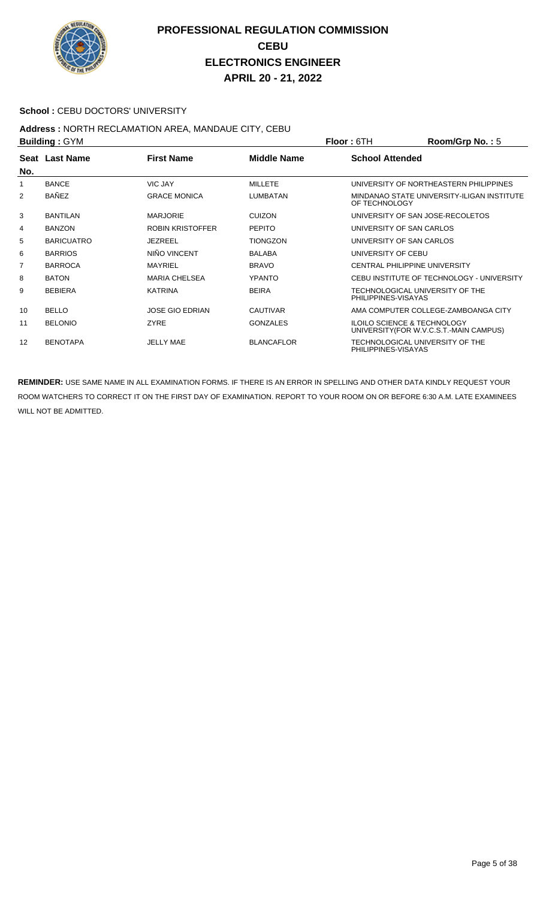

#### School : CEBU DOCTORS' UNIVERSITY

# **Address : NORTH RECLAMATION AREA, MANDAUE CITY, CEBU<br>Building : CYM**

| <b>Building: GYM</b> |                   |                         |                    | <b>Floor: 6TH</b>                                                                 | $Room/Grp$ No.: 5                          |
|----------------------|-------------------|-------------------------|--------------------|-----------------------------------------------------------------------------------|--------------------------------------------|
| No.                  | Seat Last Name    | <b>First Name</b>       | <b>Middle Name</b> | <b>School Attended</b>                                                            |                                            |
| 1                    | <b>BANCE</b>      | <b>VIC JAY</b>          | <b>MILLETE</b>     |                                                                                   | UNIVERSITY OF NORTHEASTERN PHILIPPINES     |
| 2                    | <b>BAÑEZ</b>      | <b>GRACE MONICA</b>     | <b>LUMBATAN</b>    | OF TECHNOLOGY                                                                     | MINDANAO STATE UNIVERSITY-ILIGAN INSTITUTE |
| 3                    | <b>BANTILAN</b>   | <b>MARJORIE</b>         | <b>CUIZON</b>      | UNIVERSITY OF SAN JOSE-RECOLETOS                                                  |                                            |
| 4                    | <b>BANZON</b>     | <b>ROBIN KRISTOFFER</b> | <b>PEPITO</b>      | UNIVERSITY OF SAN CARLOS                                                          |                                            |
| 5                    | <b>BARICUATRO</b> | <b>JEZREEL</b>          | <b>TIONGZON</b>    | UNIVERSITY OF SAN CARLOS                                                          |                                            |
| 6                    | <b>BARRIOS</b>    | NIÑO VINCENT            | <b>BALABA</b>      | UNIVERSITY OF CEBU                                                                |                                            |
| 7                    | <b>BARROCA</b>    | <b>MAYRIEL</b>          | <b>BRAVO</b>       | <b>CENTRAL PHILIPPINE UNIVERSITY</b>                                              |                                            |
| 8                    | <b>BATON</b>      | <b>MARIA CHELSEA</b>    | <b>YPANTO</b>      |                                                                                   | CEBU INSTITUTE OF TECHNOLOGY - UNIVERSITY  |
| 9                    | <b>BEBIERA</b>    | <b>KATRINA</b>          | <b>BEIRA</b>       | TECHNOLOGICAL UNIVERSITY OF THE<br>PHILIPPINES-VISAYAS                            |                                            |
| 10                   | <b>BELLO</b>      | <b>JOSE GIO EDRIAN</b>  | <b>CAUTIVAR</b>    |                                                                                   | AMA COMPUTER COLLEGE-ZAMBOANGA CITY        |
| 11                   | <b>BELONIO</b>    | <b>ZYRE</b>             | <b>GONZALES</b>    | <b>ILOILO SCIENCE &amp; TECHNOLOGY</b><br>UNIVERSITY (FOR W.V.C.S.T.-MAIN CAMPUS) |                                            |
| 12                   | <b>BENOTAPA</b>   | <b>JELLY MAE</b>        | <b>BLANCAFLOR</b>  | TECHNOLOGICAL UNIVERSITY OF THE<br>PHILIPPINES-VISAYAS                            |                                            |
|                      |                   |                         |                    |                                                                                   |                                            |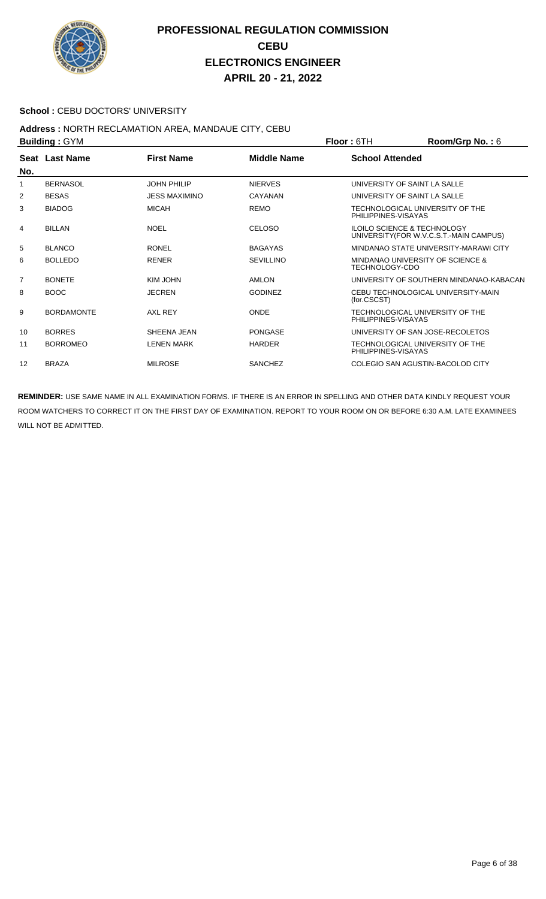

#### School : CEBU DOCTORS' UNIVERSITY

## **Address :** NORTH RECLAMATION AREA, MANDAUE CITY, CEBU

|                | <b>Building: GYM</b> |                      |                    | <b>Floor: 6TH</b>      | Room/Grp No.: 6                                                                   |
|----------------|----------------------|----------------------|--------------------|------------------------|-----------------------------------------------------------------------------------|
|                | Seat Last Name       | <b>First Name</b>    | <b>Middle Name</b> | <b>School Attended</b> |                                                                                   |
| No.            |                      |                      |                    |                        |                                                                                   |
| 1              | <b>BERNASOL</b>      | <b>JOHN PHILIP</b>   | <b>NIERVES</b>     |                        | UNIVERSITY OF SAINT LA SALLE                                                      |
| 2              | <b>BESAS</b>         | <b>JESS MAXIMINO</b> | CAYANAN            |                        | UNIVERSITY OF SAINT LA SALLE                                                      |
| 3              | <b>BIADOG</b>        | <b>MICAH</b>         | <b>REMO</b>        | PHILIPPINES-VISAYAS    | TECHNOLOGICAL UNIVERSITY OF THE                                                   |
| 4              | <b>BILLAN</b>        | <b>NOEL</b>          | <b>CELOSO</b>      |                        | <b>ILOILO SCIENCE &amp; TECHNOLOGY</b><br>UNIVERSITY (FOR W.V.C.S.T.-MAIN CAMPUS) |
| 5              | <b>BLANCO</b>        | <b>RONEL</b>         | <b>BAGAYAS</b>     |                        | MINDANAO STATE UNIVERSITY-MARAWI CITY                                             |
| 6              | <b>BOLLEDO</b>       | <b>RENER</b>         | <b>SEVILLINO</b>   | TECHNOLOGY-CDO         | MINDANAO UNIVERSITY OF SCIENCE &                                                  |
| $\overline{7}$ | <b>BONETE</b>        | KIM JOHN             | AMLON              |                        | UNIVERSITY OF SOUTHERN MINDANAO-KABACAN                                           |
| 8              | <b>BOOC</b>          | <b>JECREN</b>        | <b>GODINEZ</b>     | (for.CSCST)            | CEBU TECHNOLOGICAL UNIVERSITY-MAIN                                                |
| 9              | <b>BORDAMONTE</b>    | AXL REY              | <b>ONDE</b>        | PHILIPPINES-VISAYAS    | TECHNOLOGICAL UNIVERSITY OF THE                                                   |
| 10             | <b>BORRES</b>        | SHEENA JEAN          | PONGASE            |                        | UNIVERSITY OF SAN JOSE-RECOLETOS                                                  |
| 11             | <b>BORROMEO</b>      | <b>LENEN MARK</b>    | <b>HARDER</b>      | PHILIPPINES-VISAYAS    | TECHNOLOGICAL UNIVERSITY OF THE                                                   |
| 12             | <b>BRAZA</b>         | <b>MILROSE</b>       | <b>SANCHEZ</b>     |                        | COLEGIO SAN AGUSTIN-BACOLOD CITY                                                  |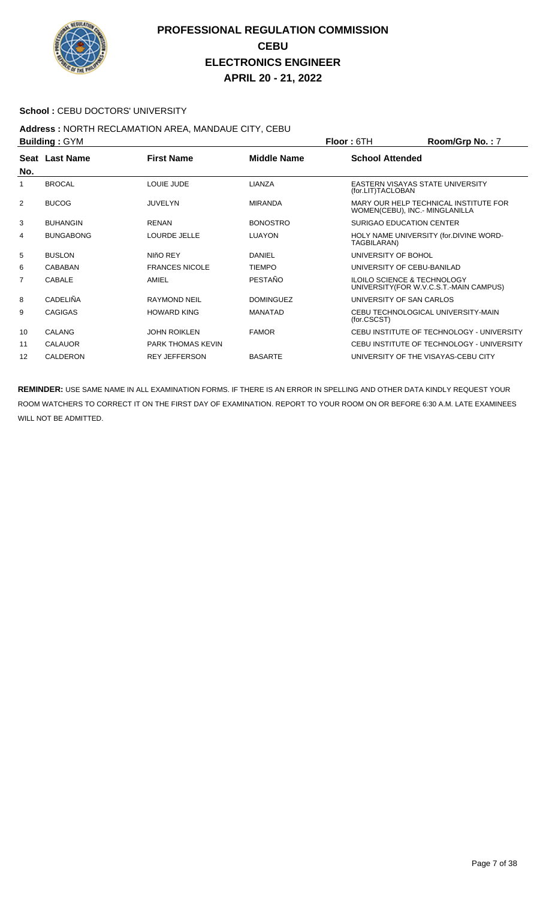

#### School : CEBU DOCTORS' UNIVERSITY

# **Address : NORTH RECLAMATION AREA, MANDAUE CITY, CEBU<br>Building : CYM**

| <b>Building: GYM</b> |                  |                          |                    | Room/Grp No.: 7<br><b>Floor: 6TH</b>                                              |
|----------------------|------------------|--------------------------|--------------------|-----------------------------------------------------------------------------------|
| No.                  | Seat Last Name   | <b>First Name</b>        | <b>Middle Name</b> | <b>School Attended</b>                                                            |
|                      | <b>BROCAL</b>    | LOUIE JUDE               | LIANZA             | EASTERN VISAYAS STATE UNIVERSITY<br>(for.LIT)TACLOBAN                             |
| 2                    | <b>BUCOG</b>     | <b>JUVELYN</b>           | <b>MIRANDA</b>     | MARY OUR HELP TECHNICAL INSTITUTE FOR<br>WOMEN(CEBU), INC.- MINGLANILLA           |
| 3                    | <b>BUHANGIN</b>  | <b>RENAN</b>             | <b>BONOSTRO</b>    | <b>SURIGAO EDUCATION CENTER</b>                                                   |
| 4                    | <b>BUNGABONG</b> | LOURDE JELLE             | <b>LUAYON</b>      | HOLY NAME UNIVERSITY (for.DIVINE WORD-<br>TAGBILARAN)                             |
| 5                    | <b>BUSLON</b>    | NIñO REY                 | DANIEL             | UNIVERSITY OF BOHOL                                                               |
| 6                    | CABABAN          | <b>FRANCES NICOLE</b>    | <b>TIEMPO</b>      | UNIVERSITY OF CEBU-BANILAD                                                        |
| 7                    | <b>CABALE</b>    | AMIEL                    | <b>PESTAÑO</b>     | <b>ILOILO SCIENCE &amp; TECHNOLOGY</b><br>UNIVERSITY (FOR W.V.C.S.T.-MAIN CAMPUS) |
| 8                    | <b>CADELIÑA</b>  | <b>RAYMOND NEIL</b>      | <b>DOMINGUEZ</b>   | UNIVERSITY OF SAN CARLOS                                                          |
| 9                    | <b>CAGIGAS</b>   | <b>HOWARD KING</b>       | <b>MANATAD</b>     | CEBU TECHNOLOGICAL UNIVERSITY-MAIN<br>(for.CSCST)                                 |
| 10                   | <b>CALANG</b>    | <b>JOHN ROIKLEN</b>      | <b>FAMOR</b>       | CEBU INSTITUTE OF TECHNOLOGY - UNIVERSITY                                         |
| 11                   | <b>CALAUOR</b>   | <b>PARK THOMAS KEVIN</b> |                    | CEBU INSTITUTE OF TECHNOLOGY - UNIVERSITY                                         |
| 12                   | CALDERON         | <b>REY JEFFERSON</b>     | <b>BASARTE</b>     | UNIVERSITY OF THE VISAYAS-CEBU CITY                                               |
|                      |                  |                          |                    |                                                                                   |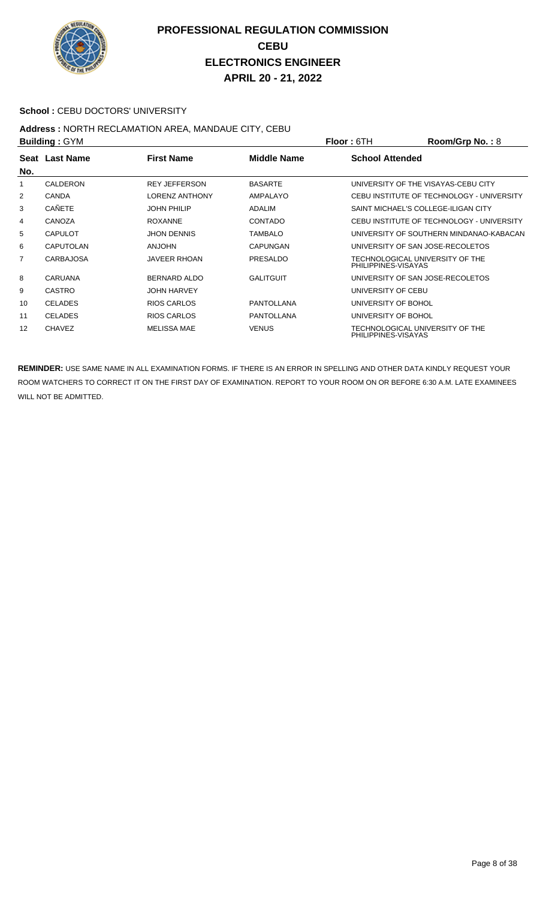

#### School : CEBU DOCTORS' UNIVERSITY

#### **Address :** NORTH RECLAMATION AREA, MANDAUE CITY, CEBU **Building :** GYM **Floor :** 6TH **Room/Grp No. :** 8

|     | <b>DUILUILLY . OT IVE</b> |                       |                   | FIUUI.UII              | <b>NUUIIIUIU INU.</b> . 0                 |
|-----|---------------------------|-----------------------|-------------------|------------------------|-------------------------------------------|
|     | Seat Last Name            | <b>First Name</b>     | Middle Name       | <b>School Attended</b> |                                           |
| No. |                           |                       |                   |                        |                                           |
| 1   | CALDERON                  | <b>REY JEFFERSON</b>  | <b>BASARTE</b>    |                        | UNIVERSITY OF THE VISAYAS-CEBU CITY       |
| 2   | <b>CANDA</b>              | <b>LORENZ ANTHONY</b> | AMPALAYO          |                        | CEBU INSTITUTE OF TECHNOLOGY - UNIVERSITY |
| 3   | <b>CAÑETE</b>             | <b>JOHN PHILIP</b>    | ADALIM            |                        | SAINT MICHAEL'S COLLEGE-ILIGAN CITY       |
| 4   | CANOZA                    | <b>ROXANNE</b>        | <b>CONTADO</b>    |                        | CEBU INSTITUTE OF TECHNOLOGY - UNIVERSITY |
| 5   | <b>CAPULOT</b>            | <b>JHON DENNIS</b>    | <b>TAMBALO</b>    |                        | UNIVERSITY OF SOUTHERN MINDANAO-KABACAN   |
| 6   | <b>CAPUTOLAN</b>          | <b>ANJOHN</b>         | <b>CAPUNGAN</b>   |                        | UNIVERSITY OF SAN JOSE-RECOLETOS          |
| 7   | <b>CARBAJOSA</b>          | <b>JAVEER RHOAN</b>   | <b>PRESALDO</b>   | PHILIPPINES-VISAYAS    | TECHNOLOGICAL UNIVERSITY OF THE           |
| 8   | CARUANA                   | BERNARD ALDO          | <b>GALITGUIT</b>  |                        | UNIVERSITY OF SAN JOSE-RECOLETOS          |
| 9   | <b>CASTRO</b>             | <b>JOHN HARVEY</b>    |                   | UNIVERSITY OF CEBU     |                                           |
| 10  | <b>CELADES</b>            | RIOS CARLOS           | <b>PANTOLLANA</b> | UNIVERSITY OF BOHOL    |                                           |
| 11  | <b>CELADES</b>            | RIOS CARLOS           | <b>PANTOLLANA</b> | UNIVERSITY OF BOHOL    |                                           |
| 12  | <b>CHAVEZ</b>             | <b>MELISSA MAE</b>    | <b>VENUS</b>      | PHILIPPINES-VISAYAS    | TECHNOLOGICAL UNIVERSITY OF THE           |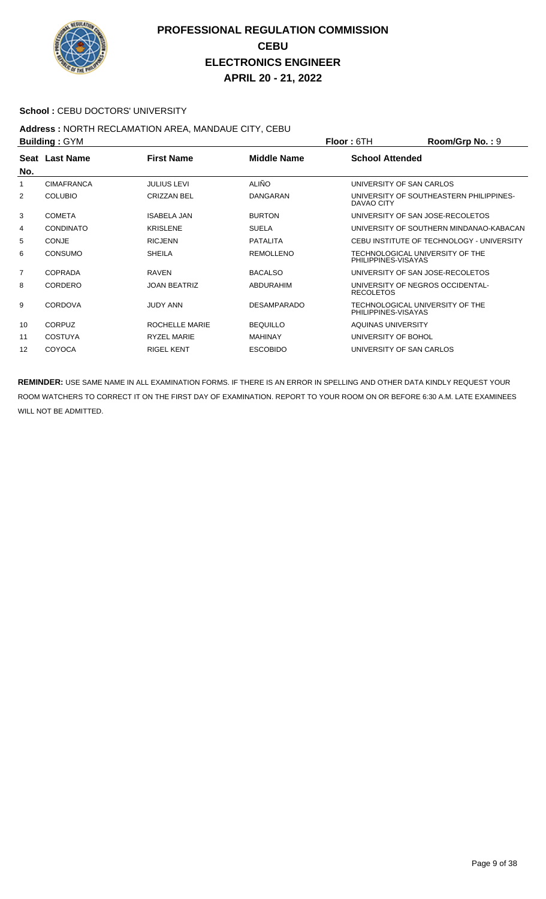

#### **School : CEBU DOCTORS' UNIVERSITY**

#### **Address :** NORTH RECLAMATION AREA, MANDAUE CITY, CEBU **Building :** GYM **Floor :** 6TH **Room/Grp No. :** 9

|                | P                 |                     |                    | <u>IIUUI.UIII</u><br>יטווועטווועס ווי $\mathbf{u}$     |
|----------------|-------------------|---------------------|--------------------|--------------------------------------------------------|
| No.            | Seat Last Name    | <b>First Name</b>   | Middle Name        | <b>School Attended</b>                                 |
| 1              | <b>CIMAFRANCA</b> | <b>JULIUS LEVI</b>  | <b>ALIÑO</b>       | UNIVERSITY OF SAN CARLOS                               |
| 2              | <b>COLUBIO</b>    | <b>CRIZZAN BEL</b>  | DANGARAN           | UNIVERSITY OF SOUTHEASTERN PHILIPPINES-<br>DAVAO CITY  |
| 3              | <b>COMETA</b>     | <b>ISABELA JAN</b>  | <b>BURTON</b>      | UNIVERSITY OF SAN JOSE-RECOLETOS                       |
| 4              | <b>CONDINATO</b>  | <b>KRISLENE</b>     | <b>SUELA</b>       | UNIVERSITY OF SOUTHERN MINDANAO-KABACAN                |
| 5              | <b>CONJE</b>      | <b>RICJENN</b>      | <b>PATALITA</b>    | CEBU INSTITUTE OF TECHNOLOGY - UNIVERSITY              |
| 6              | <b>CONSUMO</b>    | <b>SHEILA</b>       | <b>REMOLLENO</b>   | TECHNOLOGICAL UNIVERSITY OF THE<br>PHILIPPINES-VISAYAS |
| $\overline{7}$ | COPRADA           | <b>RAVEN</b>        | <b>BACALSO</b>     | UNIVERSITY OF SAN JOSE-RECOLETOS                       |
| 8              | CORDERO           | <b>JOAN BEATRIZ</b> | ABDURAHIM          | UNIVERSITY OF NEGROS OCCIDENTAL-<br><b>RECOLETOS</b>   |
| 9              | <b>CORDOVA</b>    | <b>JUDY ANN</b>     | <b>DESAMPARADO</b> | TECHNOLOGICAL UNIVERSITY OF THE<br>PHILIPPINES-VISAYAS |
| 10             | <b>CORPUZ</b>     | ROCHELLE MARIE      | <b>BEQUILLO</b>    | AQUINAS UNIVERSITY                                     |
| 11             | <b>COSTUYA</b>    | <b>RYZEL MARIE</b>  | <b>MAHINAY</b>     | UNIVERSITY OF BOHOL                                    |
| 12             | <b>COYOCA</b>     | <b>RIGEL KENT</b>   | <b>ESCOBIDO</b>    | UNIVERSITY OF SAN CARLOS                               |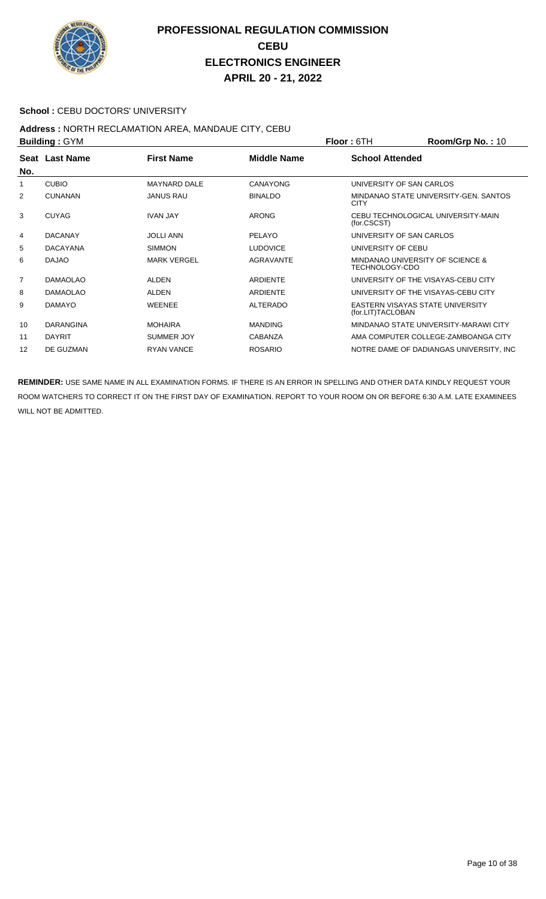

#### **School : CEBU DOCTORS' UNIVERSITY**

#### **Address :** NORTH RECLAMATION AREA, MANDAUE CITY, CEBU **Building :** GYM **Floor :** 6TH **Room/Grp No. :** 10

| <b>DUILUILLY . OT IVE</b><br><b>FIUUL.</b> UILL |                     |                    | <b>NUUIII/UI U IVU.</b> . IV |                                          |
|-------------------------------------------------|---------------------|--------------------|------------------------------|------------------------------------------|
| Seat Last Name                                  | <b>First Name</b>   | <b>Middle Name</b> | <b>School Attended</b>       |                                          |
| <b>CUBIO</b>                                    | <b>MAYNARD DALE</b> | CANAYONG           |                              | UNIVERSITY OF SAN CARLOS                 |
| <b>CUNANAN</b>                                  | <b>JANUS RAU</b>    | <b>BINALDO</b>     | <b>CITY</b>                  | MINDANAO STATE UNIVERSITY-GEN. SANTOS    |
| <b>CUYAG</b>                                    | <b>IVAN JAY</b>     | <b>ARONG</b>       | (for.CSCST)                  | CEBU TECHNOLOGICAL UNIVERSITY-MAIN       |
| <b>DACANAY</b>                                  | <b>JOLLI ANN</b>    | PELAYO             |                              | UNIVERSITY OF SAN CARLOS                 |
| <b>DACAYANA</b>                                 | <b>SIMMON</b>       | <b>LUDOVICE</b>    | UNIVERSITY OF CEBU           |                                          |
| <b>DAJAO</b>                                    | <b>MARK VERGEL</b>  | <b>AGRAVANTE</b>   | TECHNOLOGY-CDO               | MINDANAO UNIVERSITY OF SCIENCE &         |
| <b>DAMAOLAO</b>                                 | <b>ALDEN</b>        | <b>ARDIFNTF</b>    |                              | UNIVERSITY OF THE VISAYAS-CEBU CITY      |
| <b>DAMAOLAO</b>                                 | <b>ALDEN</b>        | ARDIENTE           |                              | UNIVERSITY OF THE VISAYAS-CEBU CITY      |
| <b>DAMAYO</b>                                   | <b>WEENEE</b>       | <b>ALTERADO</b>    | (for.LIT)TACLOBAN            | EASTERN VISAYAS STATE UNIVERSITY         |
| <b>DARANGINA</b>                                | <b>MOHAIRA</b>      | <b>MANDING</b>     |                              | MINDANAO STATE UNIVERSITY-MARAWI CITY    |
| <b>DAYRIT</b>                                   | SUMMER JOY          | <b>CABANZA</b>     |                              | AMA COMPUTER COLLEGE-ZAMBOANGA CITY      |
| DE GUZMAN                                       | <b>RYAN VANCE</b>   | <b>ROSARIO</b>     |                              | NOTRE DAME OF DADIANGAS UNIVERSITY, INC. |
|                                                 |                     |                    |                              |                                          |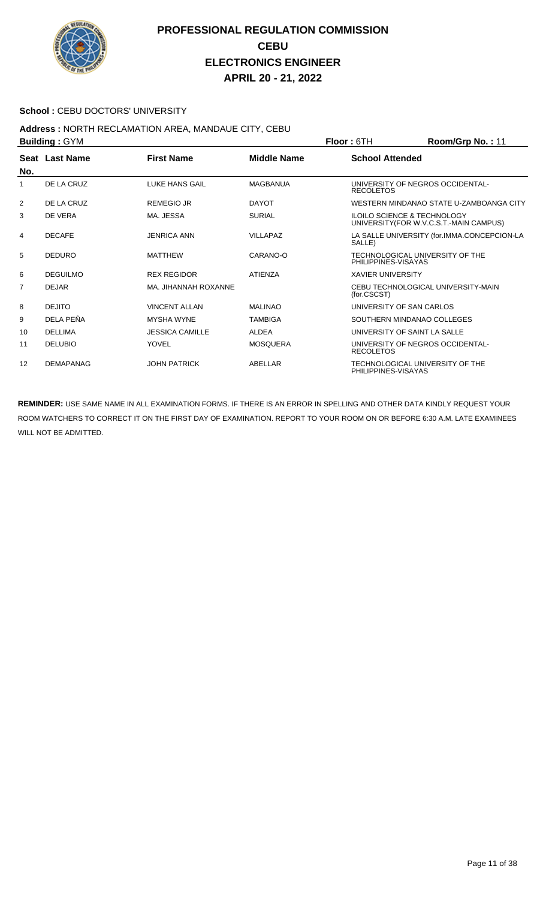

#### School : CEBU DOCTORS' UNIVERSITY

## **Address :** NORTH RECLAMATION AREA, MANDAUE CITY, CEBU

| <b>Building: GYM</b> |                  |                        |                    | Floor: 6TH               | Room/Grp No.: 11                                                                  |
|----------------------|------------------|------------------------|--------------------|--------------------------|-----------------------------------------------------------------------------------|
| No.                  | Seat Last Name   | <b>First Name</b>      | <b>Middle Name</b> | <b>School Attended</b>   |                                                                                   |
| 1                    | DE LA CRUZ       | LUKE HANS GAIL         | <b>MAGBANUA</b>    | <b>RECOLETOS</b>         | UNIVERSITY OF NEGROS OCCIDENTAL-                                                  |
| 2                    | DE LA CRUZ       | <b>REMEGIO JR</b>      | <b>DAYOT</b>       |                          | WESTERN MINDANAO STATE U-ZAMBOANGA CITY                                           |
| 3                    | DE VERA          | MA. JESSA              | <b>SURIAL</b>      |                          | <b>ILOILO SCIENCE &amp; TECHNOLOGY</b><br>UNIVERSITY (FOR W.V.C.S.T.-MAIN CAMPUS) |
| 4                    | <b>DECAFE</b>    | <b>JENRICA ANN</b>     | <b>VILLAPAZ</b>    | SALLE)                   | LA SALLE UNIVERSITY (for.IMMA.CONCEPCION-LA                                       |
| 5                    | <b>DEDURO</b>    | <b>MATTHEW</b>         | CARANO-O           | PHILIPPINES-VISAYAS      | TECHNOLOGICAL UNIVERSITY OF THE                                                   |
| 6                    | <b>DEGUILMO</b>  | <b>REX REGIDOR</b>     | <b>ATIENZA</b>     | <b>XAVIER UNIVERSITY</b> |                                                                                   |
| 7                    | <b>DEJAR</b>     | MA. JIHANNAH ROXANNE   |                    | (for.CSCST)              | CEBU TECHNOLOGICAL UNIVERSITY-MAIN                                                |
| 8                    | <b>DEJITO</b>    | <b>VINCENT ALLAN</b>   | <b>MALINAO</b>     | UNIVERSITY OF SAN CARLOS |                                                                                   |
| 9                    | DELA PEÑA        | <b>MYSHA WYNE</b>      | <b>TAMBIGA</b>     |                          | SOUTHERN MINDANAO COLLEGES                                                        |
| 10                   | <b>DELLIMA</b>   | <b>JESSICA CAMILLE</b> | <b>ALDEA</b>       |                          | UNIVERSITY OF SAINT LA SALLE                                                      |
| 11                   | <b>DELUBIO</b>   | YOVEL                  | <b>MOSQUERA</b>    | <b>RECOLETOS</b>         | UNIVERSITY OF NEGROS OCCIDENTAL-                                                  |
| 12                   | <b>DEMAPANAG</b> | <b>JOHN PATRICK</b>    | ABELLAR            | PHILIPPINES-VISAYAS      | TECHNOLOGICAL UNIVERSITY OF THE                                                   |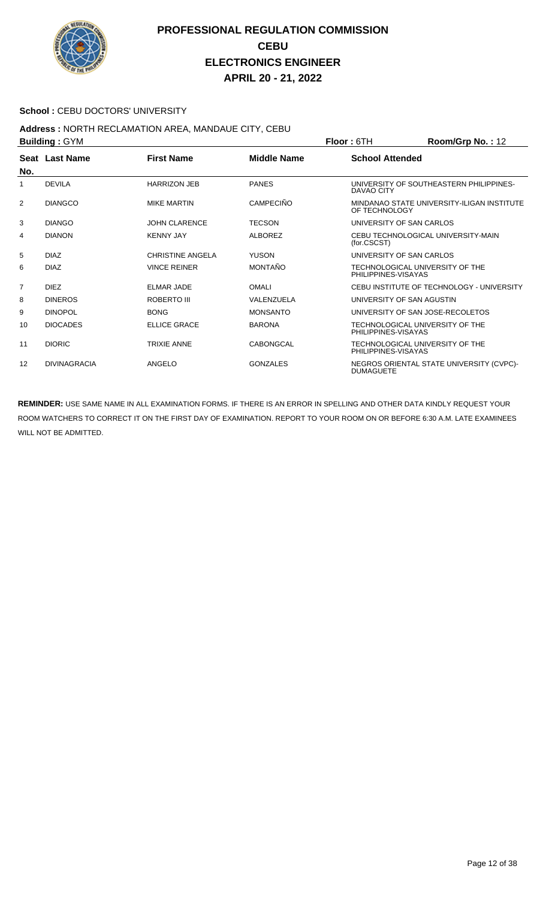

#### School : CEBU DOCTORS' UNIVERSITY

## **Address :** NORTH RECLAMATION AREA, MANDAUE CITY, CEBU

| <b>Building: GYM</b> |                     |                         |                    | <b>Floor: 6TH</b>                                      | Room/Grp No.: 12                           |
|----------------------|---------------------|-------------------------|--------------------|--------------------------------------------------------|--------------------------------------------|
| No.                  | Seat Last Name      | <b>First Name</b>       | <b>Middle Name</b> | <b>School Attended</b>                                 |                                            |
|                      | <b>DEVILA</b>       | <b>HARRIZON JEB</b>     | <b>PANES</b>       | DAVAO CITY                                             | UNIVERSITY OF SOUTHEASTERN PHILIPPINES-    |
| 2                    | <b>DIANGCO</b>      | <b>MIKE MARTIN</b>      | <b>CAMPECIÑO</b>   | OF TECHNOLOGY                                          | MINDANAO STATE UNIVERSITY-ILIGAN INSTITUTE |
| 3                    | <b>DIANGO</b>       | <b>JOHN CLARENCE</b>    | <b>TECSON</b>      | UNIVERSITY OF SAN CARLOS                               |                                            |
| 4                    | <b>DIANON</b>       | <b>KENNY JAY</b>        | <b>ALBOREZ</b>     | (for.CSCST)                                            | CEBU TECHNOLOGICAL UNIVERSITY-MAIN         |
| 5                    | <b>DIAZ</b>         | <b>CHRISTINE ANGELA</b> | <b>YUSON</b>       | UNIVERSITY OF SAN CARLOS                               |                                            |
| 6                    | <b>DIAZ</b>         | <b>VINCE REINER</b>     | <b>MONTAÑO</b>     | TECHNOLOGICAL UNIVERSITY OF THE<br>PHILIPPINES-VISAYAS |                                            |
| $\overline{7}$       | <b>DIEZ</b>         | <b>ELMAR JADE</b>       | OMAI I             |                                                        | CEBU INSTITUTE OF TECHNOLOGY - UNIVERSITY  |
| 8                    | <b>DINEROS</b>      | ROBERTO III             | VALENZUELA         | UNIVERSITY OF SAN AGUSTIN                              |                                            |
| 9                    | <b>DINOPOL</b>      | <b>BONG</b>             | <b>MONSANTO</b>    | UNIVERSITY OF SAN JOSE-RECOLETOS                       |                                            |
| 10                   | <b>DIOCADES</b>     | <b>ELLICE GRACE</b>     | <b>BARONA</b>      | TECHNOLOGICAL UNIVERSITY OF THE<br>PHILIPPINES-VISAYAS |                                            |
| 11                   | <b>DIORIC</b>       | <b>TRIXIE ANNE</b>      | CABONGCAL          | TECHNOLOGICAL UNIVERSITY OF THE<br>PHILIPPINES-VISAYAS |                                            |
| $12 \overline{ }$    | <b>DIVINAGRACIA</b> | ANGELO                  | <b>GONZALES</b>    | <b>DUMAGUETE</b>                                       | NEGROS ORIENTAL STATE UNIVERSITY (CVPC)-   |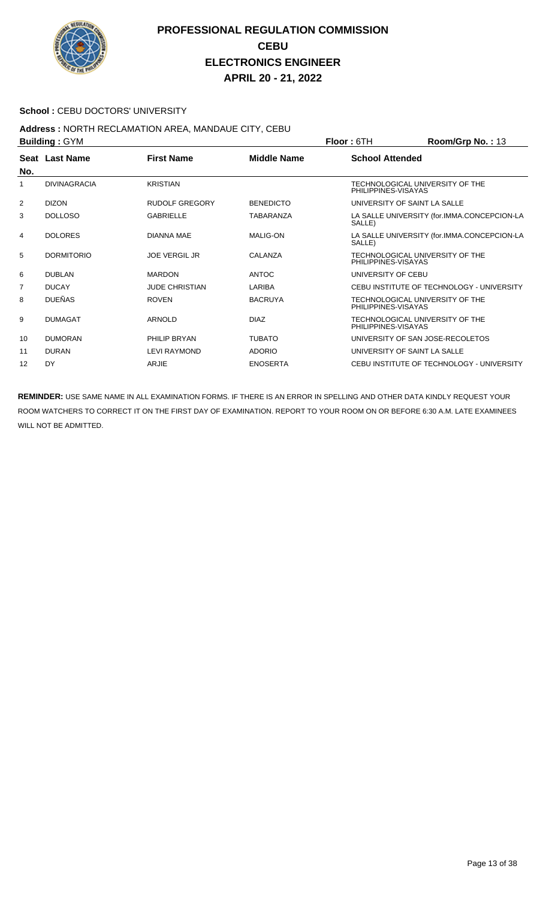

#### School : CEBU DOCTORS' UNIVERSITY

## **Address :** NORTH RECLAMATION AREA, MANDAUE CITY, CEBU

| <b>Building: GYM</b> |                     |                       | Floor: 6TH         | Room/Grp No.: 13       |                                             |
|----------------------|---------------------|-----------------------|--------------------|------------------------|---------------------------------------------|
| No.                  | Seat Last Name      | <b>First Name</b>     | <b>Middle Name</b> | <b>School Attended</b> |                                             |
| 1                    | <b>DIVINAGRACIA</b> | <b>KRISTIAN</b>       |                    | PHILIPPINES-VISAYAS    | TECHNOLOGICAL UNIVERSITY OF THE             |
| 2                    | <b>DIZON</b>        | <b>RUDOLF GREGORY</b> | <b>BENEDICTO</b>   |                        | UNIVERSITY OF SAINT LA SALLE                |
| 3                    | <b>DOLLOSO</b>      | <b>GABRIELLE</b>      | <b>TABARANZA</b>   | SALLE)                 | LA SALLE UNIVERSITY (for.IMMA.CONCEPCION-LA |
| 4                    | <b>DOLORES</b>      | DIANNA MAE            | <b>MALIG-ON</b>    | SALLE)                 | LA SALLE UNIVERSITY (for.IMMA.CONCEPCION-LA |
| 5                    | <b>DORMITORIO</b>   | <b>JOE VERGIL JR</b>  | CALANZA            | PHILIPPINES-VISAYAS    | TECHNOLOGICAL UNIVERSITY OF THE             |
| 6                    | <b>DUBLAN</b>       | <b>MARDON</b>         | <b>ANTOC</b>       | UNIVERSITY OF CEBU     |                                             |
| 7                    | <b>DUCAY</b>        | <b>JUDE CHRISTIAN</b> | LARIBA             |                        | CEBU INSTITUTE OF TECHNOLOGY - UNIVERSITY   |
| 8                    | <b>DUEÑAS</b>       | <b>ROVEN</b>          | <b>BACRUYA</b>     | PHILIPPINES-VISAYAS    | TECHNOLOGICAL UNIVERSITY OF THE             |
| 9                    | <b>DUMAGAT</b>      | <b>ARNOLD</b>         | <b>DIAZ</b>        | PHILIPPINES-VISAYAS    | TECHNOLOGICAL UNIVERSITY OF THE             |
| 10                   | <b>DUMORAN</b>      | PHILIP BRYAN          | <b>TUBATO</b>      |                        | UNIVERSITY OF SAN JOSE-RECOLETOS            |
| 11                   | <b>DURAN</b>        | <b>LEVI RAYMOND</b>   | <b>ADORIO</b>      |                        | UNIVERSITY OF SAINT LA SALLE                |
| 12                   | DY                  | ARJIE                 | <b>ENOSERTA</b>    |                        | CEBU INSTITUTE OF TECHNOLOGY - UNIVERSITY   |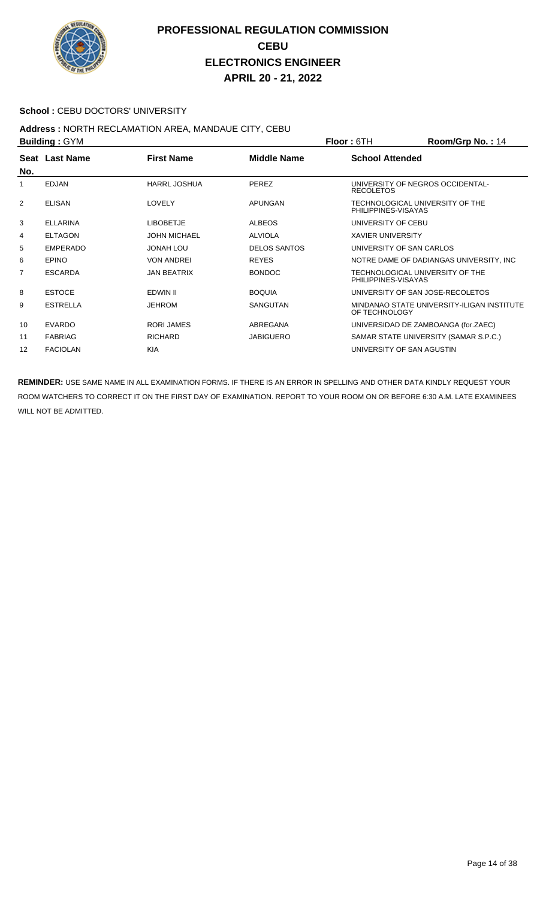

#### School : CEBU DOCTORS' UNIVERSITY

## **Address :** NORTH RECLAMATION AREA, MANDAUE CITY, CEBU

| <b>Building: GYM</b> |                 |                     |                     | <b>Floor: 6TH</b><br>Room/Grp No.: 14                       |
|----------------------|-----------------|---------------------|---------------------|-------------------------------------------------------------|
| No.                  | Seat Last Name  | <b>First Name</b>   | <b>Middle Name</b>  | <b>School Attended</b>                                      |
| 1                    | <b>EDJAN</b>    | <b>HARRL JOSHUA</b> | <b>PEREZ</b>        | UNIVERSITY OF NEGROS OCCIDENTAL-<br><b>RECOLETOS</b>        |
| 2                    | <b>ELISAN</b>   | LOVELY              | <b>APUNGAN</b>      | TECHNOLOGICAL UNIVERSITY OF THE<br>PHILIPPINES-VISAYAS      |
| 3                    | <b>ELLARINA</b> | <b>LIBOBETJE</b>    | <b>ALBEOS</b>       | UNIVERSITY OF CEBU                                          |
| 4                    | <b>ELTAGON</b>  | <b>JOHN MICHAEL</b> | <b>ALVIOLA</b>      | <b>XAVIER UNIVERSITY</b>                                    |
| 5                    | <b>EMPERADO</b> | JONAH LOU           | <b>DELOS SANTOS</b> | UNIVERSITY OF SAN CARLOS                                    |
| 6                    | <b>EPINO</b>    | <b>VON ANDREI</b>   | <b>REYES</b>        | NOTRE DAME OF DADIANGAS UNIVERSITY, INC.                    |
| $\overline{7}$       | <b>ESCARDA</b>  | <b>JAN BEATRIX</b>  | <b>BONDOC</b>       | TECHNOLOGICAL UNIVERSITY OF THE<br>PHILIPPINES-VISAYAS      |
| 8                    | <b>ESTOCE</b>   | EDWIN II            | <b>BOQUIA</b>       | UNIVERSITY OF SAN JOSE-RECOLETOS                            |
| 9                    | <b>ESTRELLA</b> | <b>JEHROM</b>       | SANGUTAN            | MINDANAO STATE UNIVERSITY-ILIGAN INSTITUTE<br>OF TECHNOLOGY |
| 10                   | <b>EVARDO</b>   | <b>RORI JAMES</b>   | ABREGANA            | UNIVERSIDAD DE ZAMBOANGA (for.ZAEC)                         |
| 11                   | <b>FABRIAG</b>  | <b>RICHARD</b>      | <b>JABIGUERO</b>    | SAMAR STATE UNIVERSITY (SAMAR S.P.C.)                       |
| 12                   | <b>FACIOLAN</b> | <b>KIA</b>          |                     | UNIVERSITY OF SAN AGUSTIN                                   |
|                      |                 |                     |                     |                                                             |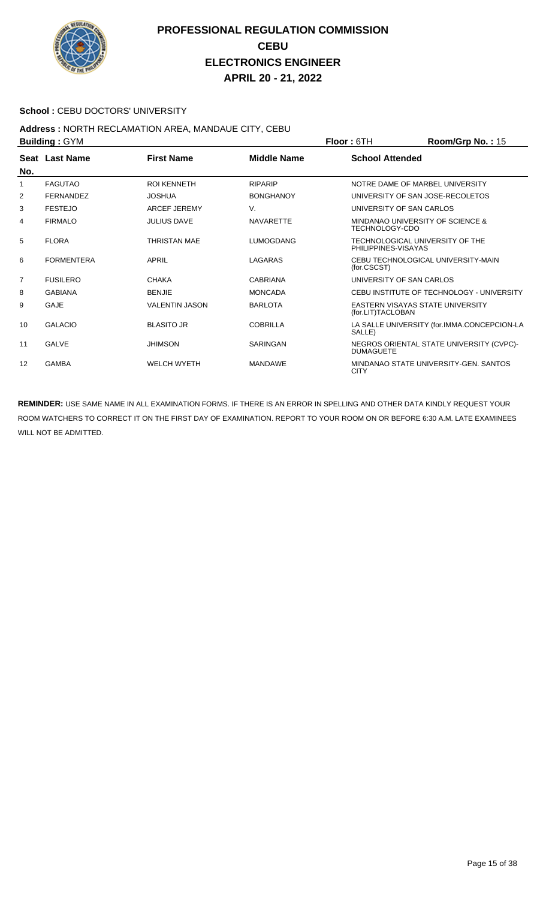

#### School : CEBU DOCTORS' UNIVERSITY

#### **Address :** NORTH RECLAMATION AREA, MANDAUE CITY, CEBU **Building :** GYM **Floor :** 6TH **Room/Grp No. :** 15

|                | P                 |                       |                    | 1 IUU 1 UUT<br>$\mathbf{N}$ ו ווען ופיווועט                  |
|----------------|-------------------|-----------------------|--------------------|--------------------------------------------------------------|
| No.            | Seat Last Name    | <b>First Name</b>     | <b>Middle Name</b> | <b>School Attended</b>                                       |
| 1              | <b>FAGUTAO</b>    | <b>ROI KENNETH</b>    | <b>RIPARIP</b>     | NOTRE DAME OF MARBEL UNIVERSITY                              |
| 2              | <b>FERNANDEZ</b>  | <b>JOSHUA</b>         | <b>BONGHANOY</b>   | UNIVERSITY OF SAN JOSE-RECOLETOS                             |
| 3              | <b>FESTEJO</b>    | <b>ARCEF JEREMY</b>   | V.                 | UNIVERSITY OF SAN CARLOS                                     |
| 4              | <b>FIRMALO</b>    | <b>JULIUS DAVE</b>    | <b>NAVARETTE</b>   | MINDANAO UNIVERSITY OF SCIENCE &<br>TECHNOLOGY-CDO           |
| 5              | <b>FLORA</b>      | THRISTAN MAE          | <b>LUMOGDANG</b>   | TECHNOLOGICAL UNIVERSITY OF THE<br>PHILIPPINES-VISAYAS       |
| 6              | <b>FORMENTERA</b> | <b>APRIL</b>          | LAGARAS            | CEBU TECHNOLOGICAL UNIVERSITY-MAIN<br>(for.CSCST)            |
| $\overline{7}$ | <b>FUSILERO</b>   | <b>CHAKA</b>          | <b>CABRIANA</b>    | UNIVERSITY OF SAN CARLOS                                     |
| 8              | <b>GABIANA</b>    | <b>BENJIE</b>         | <b>MONCADA</b>     | CEBU INSTITUTE OF TECHNOLOGY - UNIVERSITY                    |
| 9              | GAJE              | <b>VALENTIN JASON</b> | <b>BARLOTA</b>     | EASTERN VISAYAS STATE UNIVERSITY<br>(for.LIT)TACLOBAN        |
| 10             | <b>GALACIO</b>    | <b>BLASITO JR</b>     | <b>COBRILLA</b>    | LA SALLE UNIVERSITY (for.IMMA.CONCEPCION-LA<br>SALLE)        |
| 11             | <b>GALVE</b>      | <b>JHIMSON</b>        | SARINGAN           | NEGROS ORIENTAL STATE UNIVERSITY (CVPC)-<br><b>DUMAGUETE</b> |
| 12             | <b>GAMBA</b>      | <b>WELCH WYETH</b>    | <b>MANDAWE</b>     | MINDANAO STATE UNIVERSITY-GEN. SANTOS<br><b>CITY</b>         |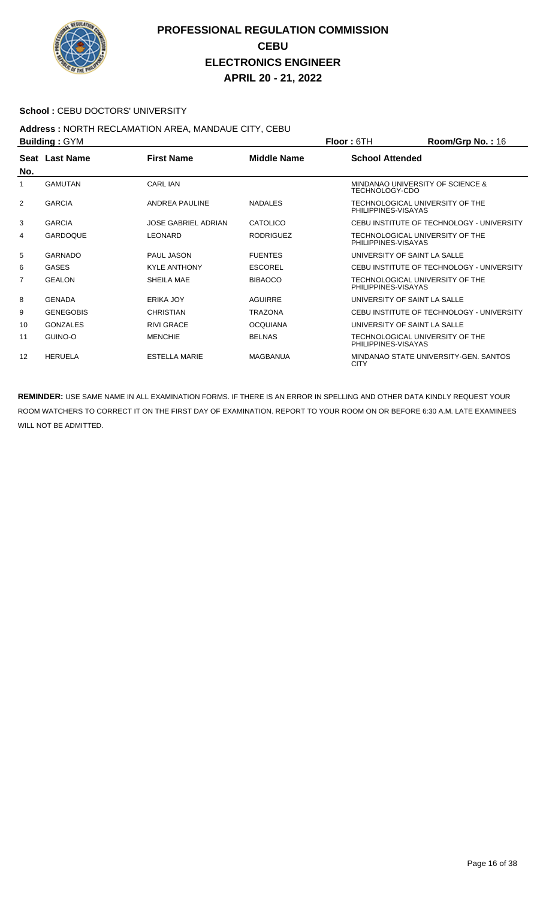

#### School : CEBU DOCTORS' UNIVERSITY

## **Address :** NORTH RECLAMATION AREA, MANDAUE CITY, CEBU

| <b>Building: GYM</b> |                       |                            |                    | <b>Floor: 6TH</b>            | Room/Grp No.: 16                          |
|----------------------|-----------------------|----------------------------|--------------------|------------------------------|-------------------------------------------|
| No.                  | <b>Seat Last Name</b> | <b>First Name</b>          | <b>Middle Name</b> | <b>School Attended</b>       |                                           |
| 1                    | <b>GAMUTAN</b>        | CARL IAN                   |                    | TECHNOLOGY-CDO               | MINDANAO UNIVERSITY OF SCIENCE &          |
| 2                    | <b>GARCIA</b>         | ANDREA PAULINE             | <b>NADALES</b>     | PHILIPPINES-VISAYAS          | TECHNOLOGICAL UNIVERSITY OF THE           |
| 3                    | <b>GARCIA</b>         | <b>JOSE GABRIEL ADRIAN</b> | <b>CATOLICO</b>    |                              | CEBU INSTITUTE OF TECHNOLOGY - UNIVERSITY |
| 4                    | <b>GARDOQUE</b>       | LEONARD                    | <b>RODRIGUEZ</b>   | PHILIPPINES-VISAYAS          | TECHNOLOGICAL UNIVERSITY OF THE           |
| 5                    | <b>GARNADO</b>        | <b>PAUL JASON</b>          | <b>FUENTES</b>     | UNIVERSITY OF SAINT LA SALLE |                                           |
| 6                    | <b>GASES</b>          | <b>KYLE ANTHONY</b>        | ESCOREL            |                              | CEBU INSTITUTE OF TECHNOLOGY - UNIVERSITY |
| $\overline{7}$       | <b>GEALON</b>         | SHEILA MAE                 | <b>BIBAOCO</b>     | PHILIPPINES-VISAYAS          | TECHNOLOGICAL UNIVERSITY OF THE           |
| 8                    | <b>GENADA</b>         | ERIKA JOY                  | <b>AGUIRRE</b>     | UNIVERSITY OF SAINT LA SALLE |                                           |
| 9                    | <b>GENEGOBIS</b>      | <b>CHRISTIAN</b>           | <b>TRAZONA</b>     |                              | CEBU INSTITUTE OF TECHNOLOGY - UNIVERSITY |
| 10                   | <b>GONZALES</b>       | <b>RIVI GRACE</b>          | <b>OCQUIANA</b>    | UNIVERSITY OF SAINT LA SALLE |                                           |
| 11                   | GUINO-O               | <b>MENCHIE</b>             | <b>BELNAS</b>      | PHILIPPINES-VISAYAS          | TECHNOLOGICAL UNIVERSITY OF THE           |
| $12 \overline{ }$    | <b>HERUELA</b>        | <b>ESTELLA MARIE</b>       | MAGBANUA           | <b>CITY</b>                  | MINDANAO STATE UNIVERSITY-GEN. SANTOS     |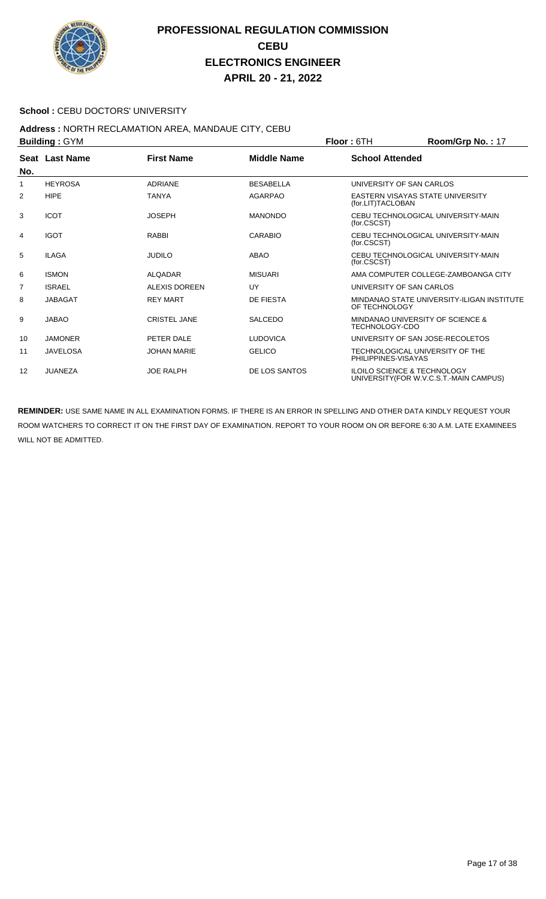

#### School : CEBU DOCTORS' UNIVERSITY

# **Address : NORTH RECLAMATION AREA, MANDAUE CITY, CEBU<br>Building : CYM**

| <b>Building: GYM</b> |                 |                      |                    | <b>Floor: 6TH</b>                                                                 | Room/Grp No.: 17 |
|----------------------|-----------------|----------------------|--------------------|-----------------------------------------------------------------------------------|------------------|
| No.                  | Seat Last Name  | <b>First Name</b>    | <b>Middle Name</b> | <b>School Attended</b>                                                            |                  |
| 1                    | <b>HEYROSA</b>  | <b>ADRIANE</b>       | <b>BESABELLA</b>   | UNIVERSITY OF SAN CARLOS                                                          |                  |
| 2                    | <b>HIPE</b>     | <b>TANYA</b>         | <b>AGARPAO</b>     | EASTERN VISAYAS STATE UNIVERSITY<br>(for.LIT)TACLOBAN                             |                  |
| 3                    | <b>ICOT</b>     | <b>JOSEPH</b>        | <b>MANONDO</b>     | CEBU TECHNOLOGICAL UNIVERSITY-MAIN<br>(for.CSCST)                                 |                  |
| 4                    | <b>IGOT</b>     | <b>RABBI</b>         | CARABIO            | CEBU TECHNOLOGICAL UNIVERSITY-MAIN<br>(for.CSCST)                                 |                  |
| 5                    | <b>ILAGA</b>    | <b>JUDILO</b>        | ABAO               | CEBU TECHNOLOGICAL UNIVERSITY-MAIN<br>(for.CSCST)                                 |                  |
| 6                    | <b>ISMON</b>    | <b>ALOADAR</b>       | <b>MISUARI</b>     | AMA COMPUTER COLLEGE-ZAMBOANGA CITY                                               |                  |
| $\overline{7}$       | <b>ISRAEL</b>   | <b>ALEXIS DOREEN</b> | UY                 | UNIVERSITY OF SAN CARLOS                                                          |                  |
| 8                    | <b>JABAGAT</b>  | <b>REY MART</b>      | <b>DE FIESTA</b>   | MINDANAO STATE UNIVERSITY-ILIGAN INSTITUTE<br>OF TECHNOLOGY                       |                  |
| 9                    | <b>JABAO</b>    | <b>CRISTEL JANE</b>  | <b>SALCEDO</b>     | MINDANAO UNIVERSITY OF SCIENCE &<br><b>TECHNOLOGY-CDO</b>                         |                  |
| 10                   | <b>JAMONER</b>  | PETER DALE           | <b>LUDOVICA</b>    | UNIVERSITY OF SAN JOSE-RECOLETOS                                                  |                  |
| 11                   | <b>JAVELOSA</b> | <b>JOHAN MARIE</b>   | <b>GELICO</b>      | TECHNOLOGICAL UNIVERSITY OF THE<br>PHILIPPINES-VISAYAS                            |                  |
| 12                   | JUANEZA         | <b>JOE RALPH</b>     | DE LOS SANTOS      | <b>ILOILO SCIENCE &amp; TECHNOLOGY</b><br>UNIVERSITY (FOR W.V.C.S.T.-MAIN CAMPUS) |                  |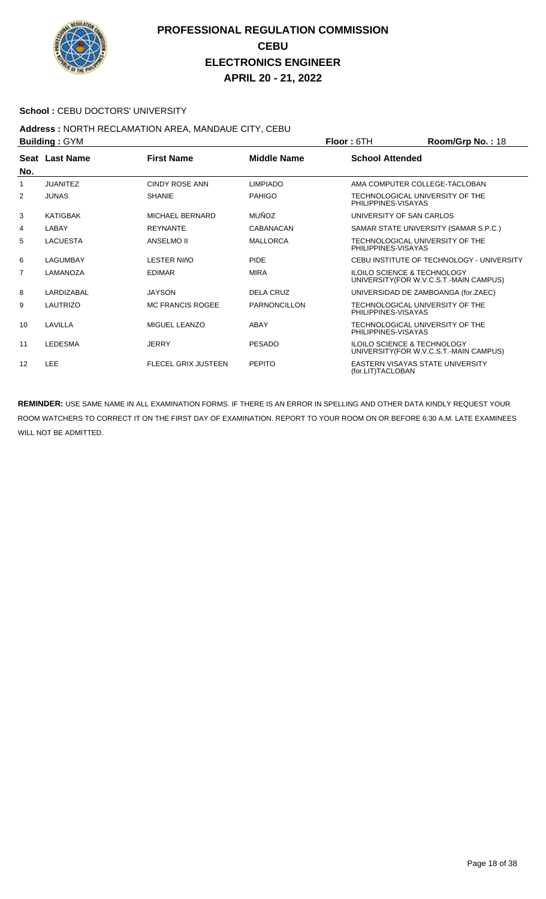

#### School : CEBU DOCTORS' UNIVERSITY

#### **Address :** NORTH RECLAMATION AREA, MANDAUE CITY, CEBU **Building :** GYM **Floor :** 6TH **Room/Grp No. :** 18

|                | P               |                            |                    | 1 IUU 1 UUT<br><b>NUVILIUS DI NU.</b> . 10                                        |
|----------------|-----------------|----------------------------|--------------------|-----------------------------------------------------------------------------------|
| No.            | Seat Last Name  | <b>First Name</b>          | <b>Middle Name</b> | <b>School Attended</b>                                                            |
| 1              | <b>JUANITEZ</b> | <b>CINDY ROSE ANN</b>      | <b>LIMPIADO</b>    | AMA COMPUTER COLLEGE-TACLOBAN                                                     |
| 2              | <b>JUNAS</b>    | <b>SHANIE</b>              | <b>PAHIGO</b>      | TECHNOLOGICAL UNIVERSITY OF THE<br>PHILIPPINES-VISAYAS                            |
| 3              | <b>KATIGBAK</b> | MICHAEL BERNARD            | <b>MUÑOZ</b>       | UNIVERSITY OF SAN CARLOS                                                          |
| 4              | LABAY           | <b>REYNANTE</b>            | CABANACAN          | SAMAR STATE UNIVERSITY (SAMAR S.P.C.)                                             |
| 5              | <b>LACUESTA</b> | ANSELMO II                 | <b>MALLORCA</b>    | TECHNOLOGICAL UNIVERSITY OF THE<br>PHILIPPINES-VISAYAS                            |
| 6              | LAGUMBAY        | <b>LESTER NIñO</b>         | <b>PIDE</b>        | CEBU INSTITUTE OF TECHNOLOGY - UNIVERSITY                                         |
| $\overline{7}$ | LAMANOZA        | <b>EDIMAR</b>              | <b>MIRA</b>        | <b>ILOILO SCIENCE &amp; TECHNOLOGY</b><br>UNIVERSITY (FOR W.V.C.S.T.-MAIN CAMPUS) |
| 8              | LARDIZABAL      | <b>JAYSON</b>              | <b>DELA CRUZ</b>   | UNIVERSIDAD DE ZAMBOANGA (for.ZAEC)                                               |
| 9              | LAUTRIZO        | <b>MC FRANCIS ROGEE</b>    | PARNONCILLON       | TECHNOLOGICAL UNIVERSITY OF THE<br>PHILIPPINES-VISAYAS                            |
| 10             | LAVILLA         | MIGUEL LEANZO              | ABAY               | TECHNOLOGICAL UNIVERSITY OF THE<br>PHILIPPINES-VISAYAS                            |
| 11             | <b>LEDESMA</b>  | <b>JERRY</b>               | <b>PESADO</b>      | <b>ILOILO SCIENCE &amp; TECHNOLOGY</b><br>UNIVERSITY (FOR W.V.C.S.T.-MAIN CAMPUS) |
| 12             | <b>LEE</b>      | <b>FLECEL GRIX JUSTEEN</b> | <b>PEPITO</b>      | <b>EASTERN VISAYAS STATE UNIVERSITY</b><br>(for.LIT)TACLOBAN                      |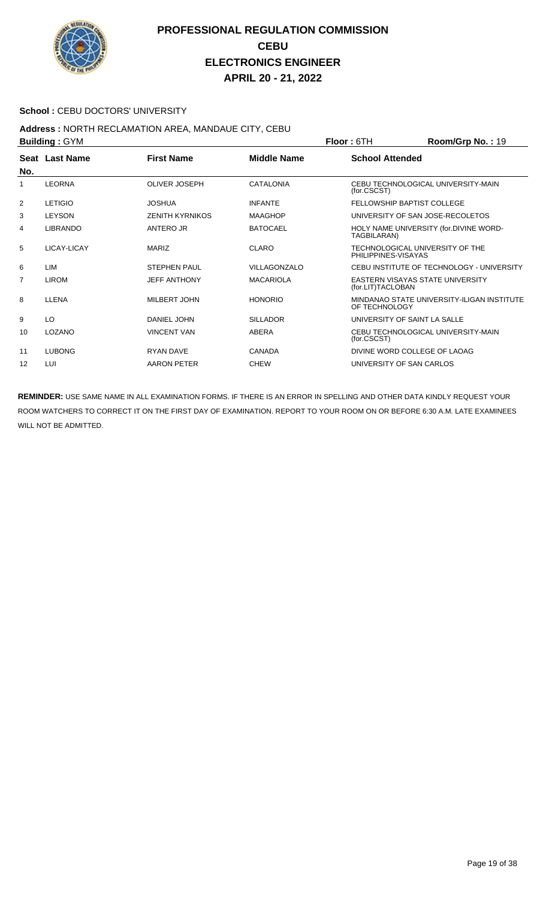

#### School : CEBU DOCTORS' UNIVERSITY

#### **Address :** NORTH RECLAMATION AREA, MANDAUE CITY, CEBU **Building :** GYM **Floor :** 6TH **Room/Grp No. :** 19

|     | P                     |                        |                    | 1 IUU 1 U 1 I 1              | או עוטעוועטאר $\mathbf{u}$ . די            |
|-----|-----------------------|------------------------|--------------------|------------------------------|--------------------------------------------|
|     | <b>Seat Last Name</b> | <b>First Name</b>      | <b>Middle Name</b> | <b>School Attended</b>       |                                            |
| No. |                       |                        |                    |                              |                                            |
|     | <b>LEORNA</b>         | <b>OLIVER JOSEPH</b>   | <b>CATALONIA</b>   | (for.CSCST)                  | CEBU TECHNOLOGICAL UNIVERSITY-MAIN         |
| 2   | <b>LETIGIO</b>        | JOSHUA                 | <b>INFANTE</b>     |                              | <b>FELLOWSHIP BAPTIST COLLEGE</b>          |
| 3   | <b>LEYSON</b>         | <b>ZENITH KYRNIKOS</b> | <b>MAAGHOP</b>     |                              | UNIVERSITY OF SAN JOSE-RECOLETOS           |
| 4   | <b>LIBRANDO</b>       | ANTERO JR              | <b>BATOCAEL</b>    | TAGBILARAN)                  | HOLY NAME UNIVERSITY (for.DIVINE WORD-     |
| 5   | LICAY-LICAY           | <b>MARIZ</b>           | <b>CLARO</b>       | PHILIPPINES-VISAYAS          | TECHNOLOGICAL UNIVERSITY OF THE            |
| 6   | <b>LIM</b>            | <b>STEPHEN PAUL</b>    | VILLAGONZALO       |                              | CEBU INSTITUTE OF TECHNOLOGY - UNIVERSITY  |
| 7   | <b>LIROM</b>          | <b>JEFF ANTHONY</b>    | <b>MACARIOLA</b>   | (for.LIT)TACLOBAN            | EASTERN VISAYAS STATE UNIVERSITY           |
| 8   | <b>LLENA</b>          | MILBERT JOHN           | <b>HONORIO</b>     | OF TECHNOLOGY                | MINDANAO STATE UNIVERSITY-ILIGAN INSTITUTE |
| 9   | LO                    | DANIEL JOHN            | <b>SILLADOR</b>    | UNIVERSITY OF SAINT LA SALLE |                                            |
| 10  | LOZANO                | <b>VINCENT VAN</b>     | ABERA              | (for.CSCST)                  | CEBU TECHNOLOGICAL UNIVERSITY-MAIN         |
| 11  | <b>LUBONG</b>         | <b>RYAN DAVE</b>       | <b>CANADA</b>      |                              | DIVINE WORD COLLEGE OF LAOAG               |
| 12  | LUI                   | AARON PETER            | <b>CHEW</b>        | UNIVERSITY OF SAN CARLOS     |                                            |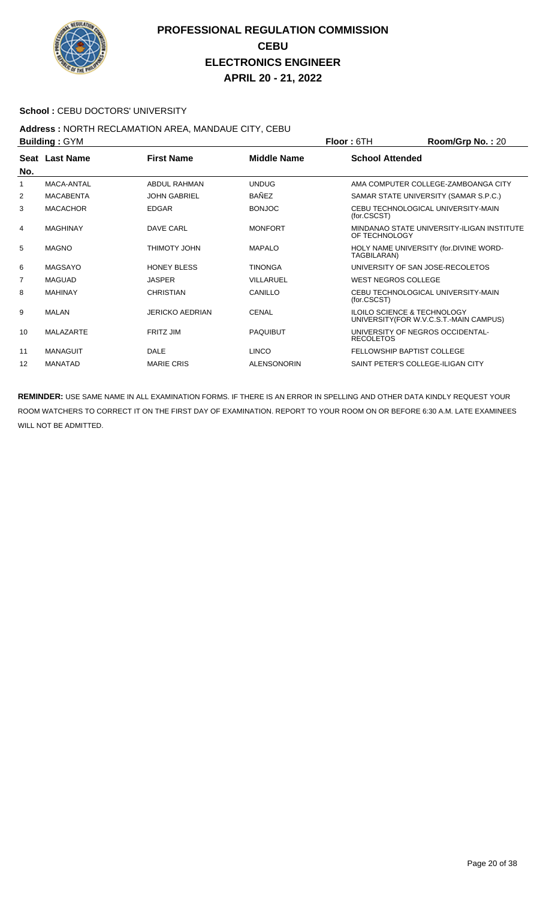

#### School : CEBU DOCTORS' UNIVERSITY

#### **Address :** NORTH RECLAMATION AREA, MANDAUE CITY, CEBU **Building :** GYM **Floor :** 6TH **Room/Grp No. :** 20

| <b>DUILUILLY . OT IVE</b> |                  |                        | FIUUL. UIII        | <b>NUUIIIIUI U INU.</b> . ZU |                                                                                   |
|---------------------------|------------------|------------------------|--------------------|------------------------------|-----------------------------------------------------------------------------------|
| No.                       | Seat Last Name   | <b>First Name</b>      | <b>Middle Name</b> | <b>School Attended</b>       |                                                                                   |
| 1                         | MACA-ANTAL       | ABDUL RAHMAN           | <b>UNDUG</b>       |                              | AMA COMPUTER COLLEGE-ZAMBOANGA CITY                                               |
|                           |                  |                        |                    |                              |                                                                                   |
| 2                         | <b>MACABENTA</b> | <b>JOHN GABRIEL</b>    | <b>BAÑEZ</b>       |                              | SAMAR STATE UNIVERSITY (SAMAR S.P.C.)                                             |
| 3                         | <b>MACACHOR</b>  | <b>EDGAR</b>           | <b>BONJOC</b>      | (for.CSCST)                  | CEBU TECHNOLOGICAL UNIVERSITY-MAIN                                                |
| 4                         | <b>MAGHINAY</b>  | <b>DAVE CARL</b>       | <b>MONFORT</b>     | OF TECHNOLOGY                | MINDANAO STATE UNIVERSITY-ILIGAN INSTITUTE                                        |
| 5                         | <b>MAGNO</b>     | <b>THIMOTY JOHN</b>    | <b>MAPALO</b>      | TAGBILARAN)                  | HOLY NAME UNIVERSITY (for.DIVINE WORD-                                            |
| 6                         | <b>MAGSAYO</b>   | <b>HONEY BLESS</b>     | <b>TINONGA</b>     |                              | UNIVERSITY OF SAN JOSE-RECOLETOS                                                  |
| $\overline{7}$            | <b>MAGUAD</b>    | <b>JASPER</b>          | VILLARUEL          | <b>WEST NEGROS COLLEGE</b>   |                                                                                   |
| 8                         | <b>MAHINAY</b>   | <b>CHRISTIAN</b>       | CANILLO            | (for.CSCST)                  | CEBU TECHNOLOGICAL UNIVERSITY-MAIN                                                |
| 9                         | MALAN            | <b>JERICKO AEDRIAN</b> | <b>CENAL</b>       |                              | <b>ILOILO SCIENCE &amp; TECHNOLOGY</b><br>UNIVERSITY (FOR W.V.C.S.T.-MAIN CAMPUS) |
| 10                        | <b>MALAZARTE</b> | <b>FRITZ JIM</b>       | <b>PAQUIBUT</b>    | <b>RECOLETOS</b>             | UNIVERSITY OF NEGROS OCCIDENTAL-                                                  |
| 11                        | <b>MANAGUIT</b>  | <b>DALE</b>            | <b>LINCO</b>       |                              | <b>FELLOWSHIP BAPTIST COLLEGE</b>                                                 |
| 12                        | <b>MANATAD</b>   | <b>MARIE CRIS</b>      | <b>ALENSONORIN</b> |                              | SAINT PETER'S COLLEGE-ILIGAN CITY                                                 |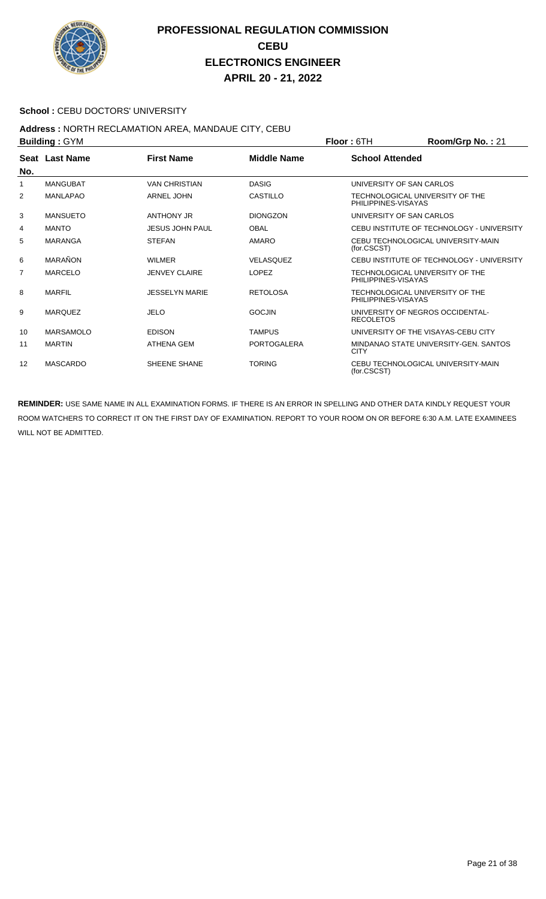

#### School : CEBU DOCTORS' UNIVERSITY

#### **Address :** NORTH RECLAMATION AREA, MANDAUE CITY, CEBU **Building :** GYM **Floor :** 6TH **Room/Grp No. :** 21

| <b>DUILUILLY . OT IVE</b> |                  |                        |                    | FIUUI. UI T<br>N                                       |  |
|---------------------------|------------------|------------------------|--------------------|--------------------------------------------------------|--|
| No.                       | Seat Last Name   | <b>First Name</b>      | Middle Name        | <b>School Attended</b>                                 |  |
| 1                         | <b>MANGUBAT</b>  | <b>VAN CHRISTIAN</b>   | <b>DASIG</b>       | UNIVERSITY OF SAN CARLOS                               |  |
| 2                         | <b>MANLAPAO</b>  | <b>ARNEL JOHN</b>      | <b>CASTILLO</b>    | TECHNOLOGICAL UNIVERSITY OF THE<br>PHILIPPINES-VISAYAS |  |
| 3                         | <b>MANSUETO</b>  | ANTHONY JR             | <b>DIONGZON</b>    | UNIVERSITY OF SAN CARLOS                               |  |
| 4                         | <b>MANTO</b>     | <b>JESUS JOHN PAUL</b> | <b>OBAL</b>        | CEBU INSTITUTE OF TECHNOLOGY - UNIVERSITY              |  |
| 5                         | <b>MARANGA</b>   | <b>STEFAN</b>          | <b>AMARO</b>       | CEBU TECHNOLOGICAL UNIVERSITY-MAIN<br>(for.CSCST)      |  |
| 6                         | <b>MARAÑON</b>   | WII MFR                | <b>VELASQUEZ</b>   | CEBU INSTITUTE OF TECHNOLOGY - UNIVERSITY              |  |
| $\overline{7}$            | <b>MARCELO</b>   | <b>JENVEY CLAIRE</b>   | <b>LOPEZ</b>       | TECHNOLOGICAL UNIVERSITY OF THE<br>PHILIPPINES-VISAYAS |  |
| 8                         | <b>MARFIL</b>    | <b>JESSELYN MARIE</b>  | <b>RETOLOSA</b>    | TECHNOLOGICAL UNIVERSITY OF THE<br>PHILIPPINES-VISAYAS |  |
| 9                         | <b>MARQUEZ</b>   | <b>JELO</b>            | <b>GOCJIN</b>      | UNIVERSITY OF NEGROS OCCIDENTAL-<br><b>RECOLETOS</b>   |  |
| 10                        | <b>MARSAMOLO</b> | <b>EDISON</b>          | <b>TAMPUS</b>      | UNIVERSITY OF THE VISAYAS-CEBU CITY                    |  |
| 11                        | <b>MARTIN</b>    | ATHENA GEM             | <b>PORTOGALERA</b> | MINDANAO STATE UNIVERSITY-GEN. SANTOS<br><b>CITY</b>   |  |
| 12                        | <b>MASCARDO</b>  | SHEENE SHANE           | <b>TORING</b>      | CEBU TECHNOLOGICAL UNIVERSITY-MAIN<br>(for.CSCST)      |  |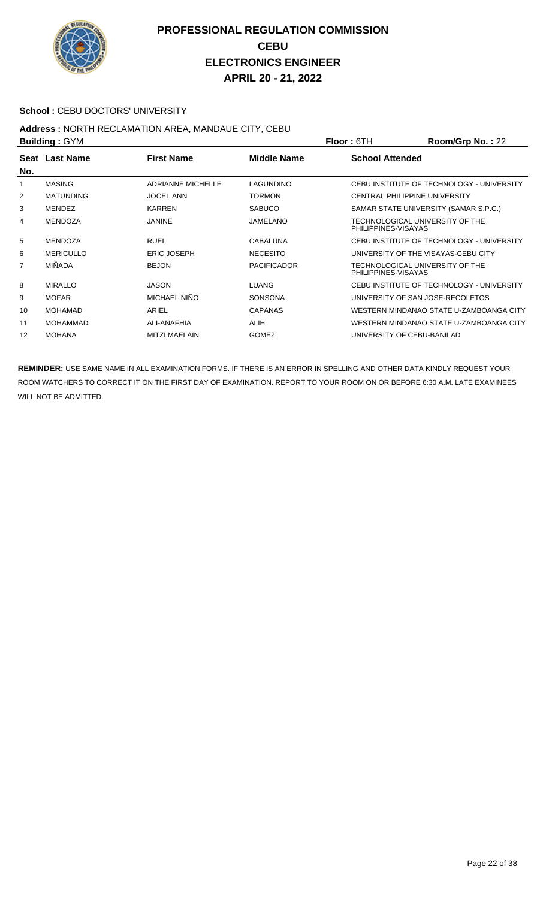

#### School : CEBU DOCTORS' UNIVERSITY

# **Address :** NORTH RECLAMATION AREA, MANDAUE CITY, CEBU

| <b>Building: GYM</b> |                  |                          | <b>Floor: 6TH</b>  | Room/Grp No.: 22       |                                           |
|----------------------|------------------|--------------------------|--------------------|------------------------|-------------------------------------------|
| No.                  | Seat Last Name   | <b>First Name</b>        | Middle Name        | <b>School Attended</b> |                                           |
|                      | <b>MASING</b>    | <b>ADRIANNE MICHELLE</b> | LAGUNDINO          |                        | CEBU INSTITUTE OF TECHNOLOGY - UNIVERSITY |
| 2                    | <b>MATUNDING</b> | <b>JOCEL ANN</b>         | <b>TORMON</b>      |                        | <b>CENTRAL PHILIPPINE UNIVERSITY</b>      |
| 3                    | <b>MENDEZ</b>    | <b>KARREN</b>            | <b>SABUCO</b>      |                        | SAMAR STATE UNIVERSITY (SAMAR S.P.C.)     |
| 4                    | <b>MENDOZA</b>   | <b>JANINE</b>            | JAMELANO           | PHILIPPINES-VISAYAS    | TECHNOLOGICAL UNIVERSITY OF THE           |
| 5                    | <b>MENDOZA</b>   | <b>RUEL</b>              | CABALUNA           |                        | CEBU INSTITUTE OF TECHNOLOGY - UNIVERSITY |
| 6                    | <b>MERICULLO</b> | <b>ERIC JOSEPH</b>       | <b>NECESITO</b>    |                        | UNIVERSITY OF THE VISAYAS-CEBU CITY       |
| 7                    | <b>MIÑADA</b>    | <b>BEJON</b>             | <b>PACIFICADOR</b> | PHILIPPINES-VISAYAS    | TECHNOLOGICAL UNIVERSITY OF THE           |
| 8                    | <b>MIRALLO</b>   | JASON                    | <b>LUANG</b>       |                        | CEBU INSTITUTE OF TECHNOLOGY - UNIVERSITY |
| 9                    | <b>MOFAR</b>     | MICHAEL NIÑO             | <b>SONSONA</b>     |                        | UNIVERSITY OF SAN JOSE-RECOLETOS          |
| 10                   | <b>MOHAMAD</b>   | ARIEL                    | <b>CAPANAS</b>     |                        | WESTERN MINDANAO STATE U-ZAMBOANGA CITY   |
| 11                   | <b>MOHAMMAD</b>  | ALI-ANAFHIA              | <b>ALIH</b>        |                        | WESTERN MINDANAO STATE U-ZAMBOANGA CITY   |
| 12                   | <b>MOHANA</b>    | <b>MITZI MAELAIN</b>     | <b>GOMEZ</b>       |                        | UNIVERSITY OF CEBU-BANILAD                |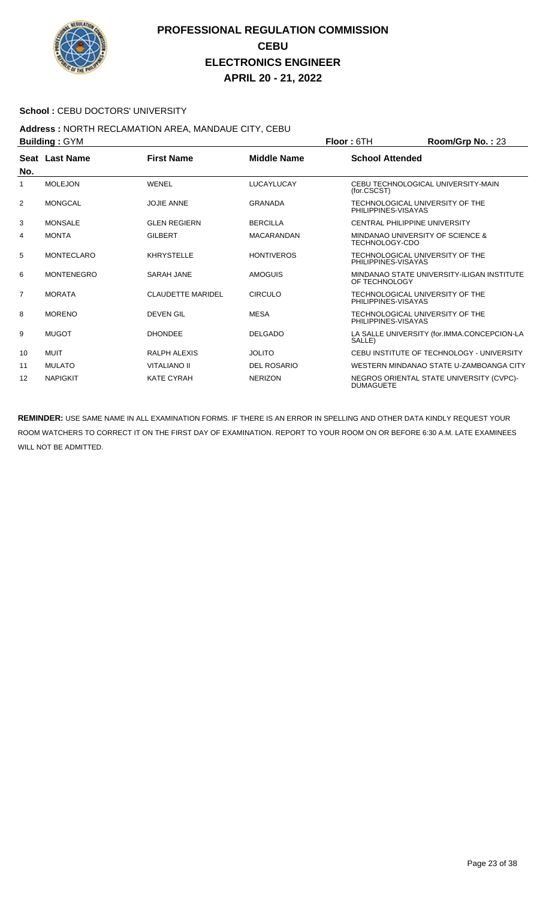

#### **School : CEBU DOCTORS' UNIVERSITY**

#### **Address :** NORTH RECLAMATION AREA, MANDAUE CITY, CEBU **Building : GYM Floor : 6TH Room/Grp No. : 23**

|                | יייי ט <sub>∙</sub> שוושווע |                          |                    | .                                                            |
|----------------|-----------------------------|--------------------------|--------------------|--------------------------------------------------------------|
|                | <b>Seat Last Name</b>       | <b>First Name</b>        | <b>Middle Name</b> | <b>School Attended</b>                                       |
| No.            |                             |                          |                    |                                                              |
| 1              | <b>MOLEJON</b>              | WENEL                    | LUCAYLUCAY         | CEBU TECHNOLOGICAL UNIVERSITY-MAIN<br>(for.CSCST)            |
| 2              | <b>MONGCAL</b>              | <b>JOJIE ANNE</b>        | <b>GRANADA</b>     | TECHNOLOGICAL UNIVERSITY OF THE<br>PHILIPPINES-VISAYAS       |
| 3              | <b>MONSALE</b>              | <b>GLEN REGIERN</b>      | <b>BERCILLA</b>    | CENTRAL PHILIPPINE UNIVERSITY                                |
| 4              | <b>MONTA</b>                | <b>GILBERT</b>           | <b>MACARANDAN</b>  | MINDANAO UNIVERSITY OF SCIENCE &<br>TECHNOLOGY-CDO           |
| 5              | <b>MONTECLARO</b>           | <b>KHRYSTELLE</b>        | <b>HONTIVEROS</b>  | TECHNOLOGICAL UNIVERSITY OF THE<br>PHILIPPINES-VISAYAS       |
| 6              | <b>MONTENEGRO</b>           | <b>SARAH JANE</b>        | <b>AMOGUIS</b>     | MINDANAO STATE UNIVERSITY-ILIGAN INSTITUTE<br>OF TECHNOLOGY  |
| $\overline{7}$ | <b>MORATA</b>               | <b>CLAUDETTE MARIDEL</b> | <b>CIRCULO</b>     | TECHNOLOGICAL UNIVERSITY OF THE<br>PHILIPPINES-VISAYAS       |
| 8              | <b>MORENO</b>               | <b>DEVEN GIL</b>         | <b>MESA</b>        | TECHNOLOGICAL UNIVERSITY OF THE<br>PHILIPPINES-VISAYAS       |
| 9              | <b>MUGOT</b>                | <b>DHONDEE</b>           | <b>DELGADO</b>     | LA SALLE UNIVERSITY (for.IMMA.CONCEPCION-LA<br>SALLE)        |
| 10             | <b>MUIT</b>                 | RALPH ALEXIS             | <b>JOLITO</b>      | CEBU INSTITUTE OF TECHNOLOGY - UNIVERSITY                    |
| 11             | <b>MULATO</b>               | <b>VITALIANO II</b>      | <b>DEL ROSARIO</b> | WESTERN MINDANAO STATE U-ZAMBOANGA CITY                      |
| 12             | <b>NAPIGKIT</b>             | <b>KATE CYRAH</b>        | <b>NERIZON</b>     | NEGROS ORIENTAL STATE UNIVERSITY (CVPC)-<br><b>DUMAGUETE</b> |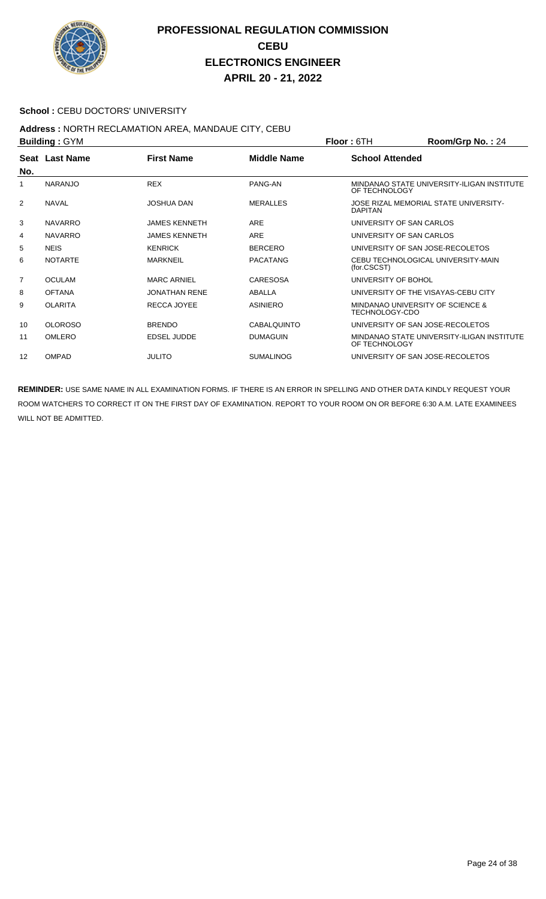

#### School : CEBU DOCTORS' UNIVERSITY

#### **Address :** NORTH RECLAMATION AREA, MANDAUE CITY, CEBU **Building :** GYM **Floor :** 6TH **Room/Grp No. :** 24

| <b>DUILUILLY . OT IVE</b> |                |                      | FIUUL. UIT         | <b>NUUIII/UI DI NU.</b> . 44 |                                            |
|---------------------------|----------------|----------------------|--------------------|------------------------------|--------------------------------------------|
|                           | Seat Last Name | <b>First Name</b>    | <b>Middle Name</b> | <b>School Attended</b>       |                                            |
| No.                       |                |                      |                    |                              |                                            |
| 1                         | <b>NARANJO</b> | <b>REX</b>           | PANG-AN            | OF TECHNOLOGY                | MINDANAO STATE UNIVERSITY-ILIGAN INSTITUTE |
| 2                         | <b>NAVAL</b>   | <b>JOSHUA DAN</b>    | <b>MERALLES</b>    | <b>DAPITAN</b>               | JOSE RIZAL MEMORIAL STATE UNIVERSITY-      |
| 3                         | <b>NAVARRO</b> | <b>JAMES KENNETH</b> | ARE                | UNIVERSITY OF SAN CARLOS     |                                            |
| 4                         | <b>NAVARRO</b> | <b>JAMES KENNETH</b> | <b>ARE</b>         | UNIVERSITY OF SAN CARLOS     |                                            |
| 5                         | <b>NEIS</b>    | <b>KENRICK</b>       | <b>BERCERO</b>     |                              | UNIVERSITY OF SAN JOSE-RECOLETOS           |
| 6                         | <b>NOTARTE</b> | <b>MARKNEIL</b>      | <b>PACATANG</b>    | (for.CSCST)                  | CEBU TECHNOLOGICAL UNIVERSITY-MAIN         |
| $\overline{7}$            | <b>OCULAM</b>  | <b>MARC ARNIEL</b>   | <b>CARESOSA</b>    | UNIVERSITY OF BOHOL          |                                            |
| 8                         | <b>OFTANA</b>  | <b>JONATHAN RENE</b> | ABALLA             |                              | UNIVERSITY OF THE VISAYAS-CEBU CITY        |
| 9                         | <b>OLARITA</b> | RECCA JOYEE          | <b>ASINIERO</b>    | TECHNOLOGY-CDO               | MINDANAO UNIVERSITY OF SCIENCE &           |
| 10                        | <b>OLOROSO</b> | <b>BRENDO</b>        | <b>CABALQUINTO</b> |                              | UNIVERSITY OF SAN JOSE-RECOLETOS           |
| 11                        | <b>OMLERO</b>  | <b>EDSEL JUDDE</b>   | <b>DUMAGUIN</b>    | OF TECHNOLOGY                | MINDANAO STATE UNIVERSITY-ILIGAN INSTITUTE |
| 12                        | <b>OMPAD</b>   | <b>JULITO</b>        | <b>SUMALINOG</b>   |                              | UNIVERSITY OF SAN JOSE-RECOLETOS           |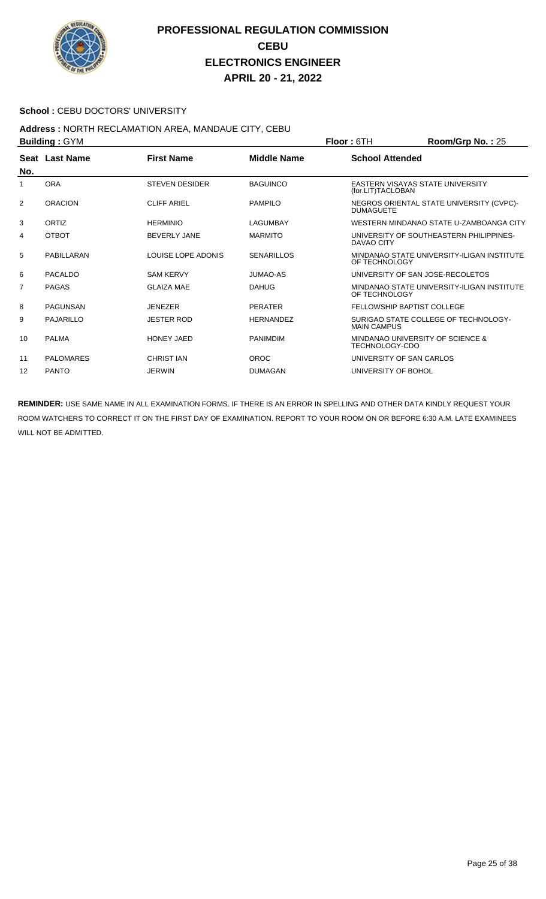

#### School : CEBU DOCTORS' UNIVERSITY

## **Address :** NORTH RECLAMATION AREA, MANDAUE CITY, CEBU

| <b>Building: GYM</b> |                  |                       |                    | <b>Floor: 6TH</b>        | Room/Grp No.: 25                            |
|----------------------|------------------|-----------------------|--------------------|--------------------------|---------------------------------------------|
|                      | Seat Last Name   | <b>First Name</b>     | <b>Middle Name</b> | <b>School Attended</b>   |                                             |
| No.                  |                  |                       |                    |                          |                                             |
| 1                    | <b>ORA</b>       | <b>STEVEN DESIDER</b> | <b>BAGUINCO</b>    | (for.LIT)TACLOBAN        | EASTERN VISAYAS STATE UNIVERSITY            |
| 2                    | <b>ORACION</b>   | <b>CLIFF ARIEL</b>    | <b>PAMPILO</b>     | <b>DUMAGUETE</b>         | NEGROS ORIENTAL STATE UNIVERSITY (CVPC)-    |
| 3                    | ORTIZ            | <b>HERMINIO</b>       | LAGUMBAY           |                          | WESTERN MINDANAO STATE U-ZAMBOANGA CITY     |
| 4                    | <b>OTBOT</b>     | <b>BEVERLY JANE</b>   | <b>MARMITO</b>     | DAVAO CITY               | UNIVERSITY OF SOUTHEASTERN PHILIPPINES-     |
| 5                    | PABILLARAN       | LOUISE LOPE ADONIS    | <b>SENARILLOS</b>  | OF TECHNOLOGY            | MINDANAO STATE UNIVERSITY-ILIGAN INSTITUTE  |
| 6                    | PACALDO          | <b>SAM KERVY</b>      | JUMAO-AS           |                          | UNIVERSITY OF SAN JOSE-RECOLETOS            |
| 7                    | <b>PAGAS</b>     | <b>GLAIZA MAE</b>     | <b>DAHUG</b>       | OF TECHNOLOGY            | MINDANAO STATE UNIVERSITY-ILIGAN INSTITUTE  |
| 8                    | <b>PAGUNSAN</b>  | <b>JENEZER</b>        | <b>PERATER</b>     |                          | <b>FELLOWSHIP BAPTIST COLLEGE</b>           |
| 9                    | <b>PAJARILLO</b> | <b>JESTER ROD</b>     | <b>HERNANDEZ</b>   | <b>MAIN CAMPUS</b>       | SURIGAO STATE COLLEGE OF TECHNOLOGY-        |
| 10                   | <b>PALMA</b>     | <b>HONEY JAED</b>     | <b>PANIMDIM</b>    | <b>TECHNOLOGY-CDO</b>    | <b>MINDANAO UNIVERSITY OF SCIENCE &amp;</b> |
| 11                   | <b>PALOMARES</b> | <b>CHRIST IAN</b>     | <b>OROC</b>        | UNIVERSITY OF SAN CARLOS |                                             |
| 12                   | <b>PANTO</b>     | <b>JERWIN</b>         | <b>DUMAGAN</b>     | UNIVERSITY OF BOHOL      |                                             |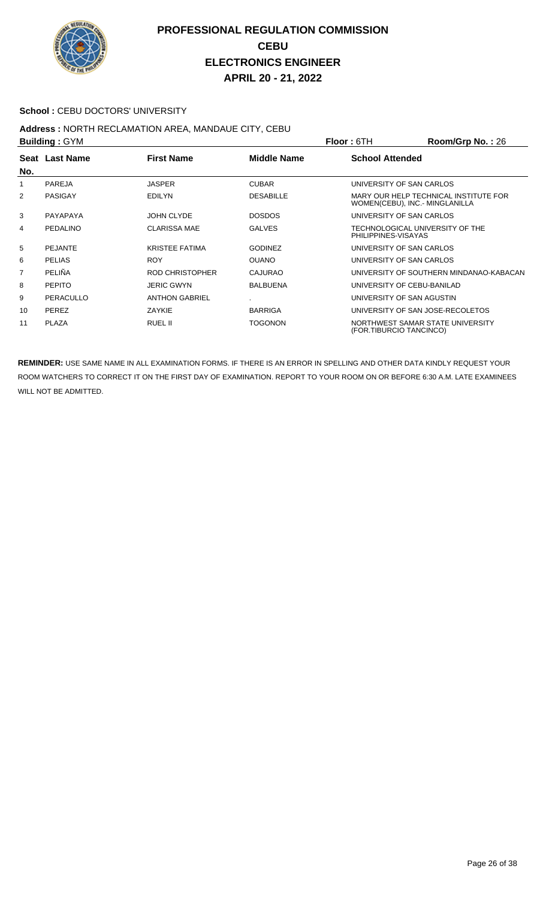

#### School : CEBU DOCTORS' UNIVERSITY

## **Address :** NORTH RECLAMATION AREA, MANDAUE CITY, CEBU

| <b>Building: GYM</b> |                |                       | <b>Floor: 6TH</b>  | Room/Grp No.: 26        |                                                                         |
|----------------------|----------------|-----------------------|--------------------|-------------------------|-------------------------------------------------------------------------|
| No.                  | Seat Last Name | <b>First Name</b>     | <b>Middle Name</b> | <b>School Attended</b>  |                                                                         |
| 1                    | PAREJA         | <b>JASPER</b>         | <b>CUBAR</b>       |                         | UNIVERSITY OF SAN CARLOS                                                |
| 2                    | PASIGAY        | <b>EDILYN</b>         | <b>DESABILLE</b>   |                         | MARY OUR HELP TECHNICAL INSTITUTE FOR<br>WOMEN(CEBU), INC.- MINGLANILLA |
| 3                    | PAYAPAYA       | JOHN CLYDE            | <b>DOSDOS</b>      |                         | UNIVERSITY OF SAN CARLOS                                                |
| 4                    | PEDALINO       | <b>CLARISSA MAE</b>   | <b>GALVES</b>      | PHILIPPINES-VISAYAS     | TECHNOLOGICAL UNIVERSITY OF THE                                         |
| 5                    | <b>PEJANTE</b> | <b>KRISTEE FATIMA</b> | <b>GODINEZ</b>     |                         | UNIVERSITY OF SAN CARLOS                                                |
| 6                    | <b>PELIAS</b>  | <b>ROY</b>            | <b>OUANO</b>       |                         | UNIVERSITY OF SAN CARLOS                                                |
| 7                    | <b>PELIÑA</b>  | ROD CHRISTOPHER       | <b>CAJURAO</b>     |                         | UNIVERSITY OF SOUTHERN MINDANAO-KABACAN                                 |
| 8                    | <b>PEPITO</b>  | <b>JERIC GWYN</b>     | <b>BALBUENA</b>    |                         | UNIVERSITY OF CEBU-BANILAD                                              |
| 9                    | PERACULLO      | <b>ANTHON GABRIEL</b> |                    |                         | UNIVERSITY OF SAN AGUSTIN                                               |
| 10                   | PEREZ          | ZAYKIE                | <b>BARRIGA</b>     |                         | UNIVERSITY OF SAN JOSE-RECOLETOS                                        |
| 11                   | <b>PLAZA</b>   | RUEL II               | TOGONON            | (FOR.TIBURCIO TANCINCO) | NORTHWEST SAMAR STATE UNIVERSITY                                        |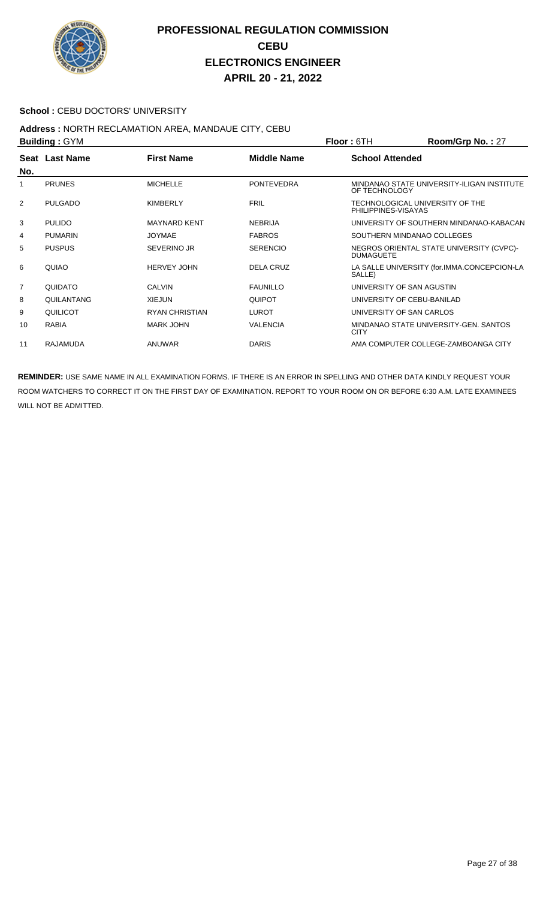

#### School : CEBU DOCTORS' UNIVERSITY

## **Address :** NORTH RECLAMATION AREA, MANDAUE CITY, CEBU

| <b>Building: GYM</b> |                 |                       |                    | <b>Floor: 6TH</b>                                      | Room/Grp No.: 27                            |
|----------------------|-----------------|-----------------------|--------------------|--------------------------------------------------------|---------------------------------------------|
| No.                  | Seat Last Name  | <b>First Name</b>     | <b>Middle Name</b> | <b>School Attended</b>                                 |                                             |
| 1                    | <b>PRUNES</b>   | <b>MICHELLE</b>       | <b>PONTEVEDRA</b>  | OF TECHNOLOGY                                          | MINDANAO STATE UNIVERSITY-ILIGAN INSTITUTE  |
| 2                    | <b>PULGADO</b>  | <b>KIMBERLY</b>       | <b>FRIL</b>        | TECHNOLOGICAL UNIVERSITY OF THE<br>PHILIPPINES-VISAYAS |                                             |
| 3                    | <b>PULIDO</b>   | <b>MAYNARD KENT</b>   | <b>NEBRIJA</b>     |                                                        | UNIVERSITY OF SOUTHERN MINDANAO-KABACAN     |
| 4                    | <b>PUMARIN</b>  | <b>JOYMAE</b>         | <b>FABROS</b>      | SOUTHERN MINDANAO COLLEGES                             |                                             |
| 5                    | <b>PUSPUS</b>   | SEVERINO JR           | <b>SERENCIO</b>    | <b>DUMAGUETE</b>                                       | NEGROS ORIENTAL STATE UNIVERSITY (CVPC)-    |
| 6                    | QUIAO           | <b>HERVEY JOHN</b>    | <b>DELA CRUZ</b>   | SALLE)                                                 | LA SALLE UNIVERSITY (for.IMMA.CONCEPCION-LA |
| $\overline{7}$       | QUIDATO         | <b>CALVIN</b>         | <b>FAUNILLO</b>    | UNIVERSITY OF SAN AGUSTIN                              |                                             |
| 8                    | QUILANTANG      | <b>XIEJUN</b>         | <b>QUIPOT</b>      | UNIVERSITY OF CEBU-BANILAD                             |                                             |
| 9                    | QUILICOT        | <b>RYAN CHRISTIAN</b> | <b>LUROT</b>       | UNIVERSITY OF SAN CARLOS                               |                                             |
| 10                   | <b>RABIA</b>    | <b>MARK JOHN</b>      | <b>VALENCIA</b>    | <b>CITY</b>                                            | MINDANAO STATE UNIVERSITY-GEN, SANTOS       |
| 11                   | <b>RAJAMUDA</b> | <b>ANUWAR</b>         | <b>DARIS</b>       |                                                        | AMA COMPUTER COLLEGE-ZAMBOANGA CITY         |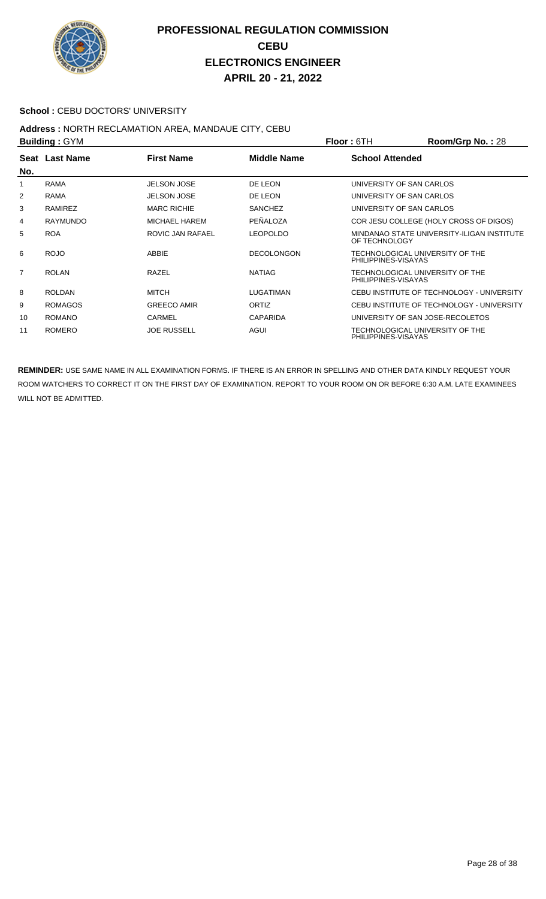

#### School : CEBU DOCTORS' UNIVERSITY

#### **Address :** NORTH RECLAMATION AREA, MANDAUE CITY, CEBU **Building :** GYM **Floor :** 6TH **Room/Grp No. :** 28

| <b>DUILUILLY . OT IVE</b> |                 |                    | FIUUL. UIT        | <b>NUUIII/UI DI NU.</b> . ZO |                                            |
|---------------------------|-----------------|--------------------|-------------------|------------------------------|--------------------------------------------|
|                           | Seat Last Name  | <b>First Name</b>  | Middle Name       | <b>School Attended</b>       |                                            |
| No.                       |                 |                    |                   |                              |                                            |
| 1                         | <b>RAMA</b>     | <b>JELSON JOSE</b> | DE LEON           |                              | UNIVERSITY OF SAN CARLOS                   |
| 2                         | <b>RAMA</b>     | <b>JELSON JOSE</b> | DE LEON           |                              | UNIVERSITY OF SAN CARLOS                   |
| 3                         | RAMIREZ         | <b>MARC RICHIE</b> | <b>SANCHEZ</b>    |                              | UNIVERSITY OF SAN CARLOS                   |
| 4                         | <b>RAYMUNDO</b> | MICHAEL HAREM      | PEÑALOZA          |                              | COR JESU COLLEGE (HOLY CROSS OF DIGOS)     |
| 5                         | <b>ROA</b>      | ROVIC JAN RAFAEL   | <b>LEOPOLDO</b>   | OF TECHNOLOGY                | MINDANAO STATE UNIVERSITY-ILIGAN INSTITUTE |
| 6                         | <b>ROJO</b>     | ABBIE              | <b>DECOLONGON</b> | PHILIPPINES-VISAYAS          | TECHNOLOGICAL UNIVERSITY OF THE            |
| $\overline{7}$            | <b>ROLAN</b>    | RAZEL              | <b>NATIAG</b>     | PHILIPPINES-VISAYAS          | TECHNOLOGICAL UNIVERSITY OF THE            |
| 8                         | <b>ROLDAN</b>   | <b>MITCH</b>       | LUGATIMAN         |                              | CEBU INSTITUTE OF TECHNOLOGY - UNIVERSITY  |
| 9                         | <b>ROMAGOS</b>  | <b>GREECO AMIR</b> | <b>ORTIZ</b>      |                              | CEBU INSTITUTE OF TECHNOLOGY - UNIVERSITY  |
| 10                        | <b>ROMANO</b>   | <b>CARMEL</b>      | <b>CAPARIDA</b>   |                              | UNIVERSITY OF SAN JOSE-RECOLETOS           |
| 11                        | <b>ROMERO</b>   | <b>JOE RUSSELL</b> | AGUI              | PHILIPPINES-VISAYAS          | TECHNOLOGICAL UNIVERSITY OF THE            |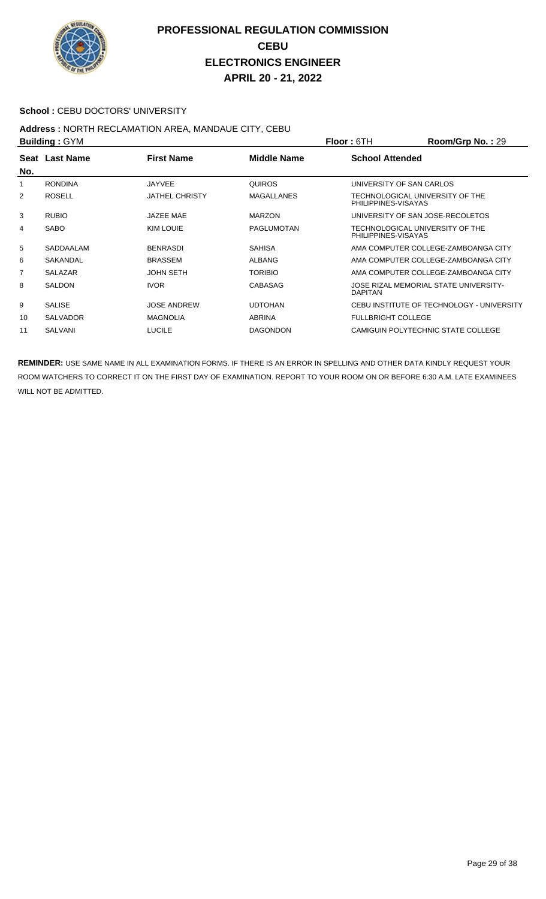

#### School : CEBU DOCTORS' UNIVERSITY

## **Address :** NORTH RECLAMATION AREA, MANDAUE CITY, CEBU

| <b>Building: GYM</b> |                 |                       |                   | <b>Floor: 6TH</b>                                      | Room/Grp No.: 29                          |
|----------------------|-----------------|-----------------------|-------------------|--------------------------------------------------------|-------------------------------------------|
| No.                  | Seat Last Name  | <b>First Name</b>     | Middle Name       | <b>School Attended</b>                                 |                                           |
| 1                    | <b>RONDINA</b>  | <b>JAYVEE</b>         | <b>QUIROS</b>     | UNIVERSITY OF SAN CARLOS                               |                                           |
| 2                    | <b>ROSELL</b>   | <b>JATHEL CHRISTY</b> | <b>MAGALLANES</b> | TECHNOLOGICAL UNIVERSITY OF THE<br>PHILIPPINES-VISAYAS |                                           |
| 3                    | <b>RUBIO</b>    | JAZEE MAE             | <b>MARZON</b>     | UNIVERSITY OF SAN JOSE-RECOLETOS                       |                                           |
| 4                    | <b>SABO</b>     | KIM LOUIE             | <b>PAGLUMOTAN</b> | TECHNOLOGICAL UNIVERSITY OF THE<br>PHILIPPINES-VISAYAS |                                           |
| 5                    | SADDAALAM       | <b>BENRASDI</b>       | <b>SAHISA</b>     |                                                        | AMA COMPUTER COLLEGE-ZAMBOANGA CITY       |
| 6                    | SAKANDAL        | <b>BRASSEM</b>        | <b>ALBANG</b>     |                                                        | AMA COMPUTER COLLEGE-ZAMBOANGA CITY       |
| 7                    | <b>SALAZAR</b>  | <b>JOHN SETH</b>      | <b>TORIBIO</b>    |                                                        | AMA COMPUTER COLLEGE-ZAMBOANGA CITY       |
| 8                    | <b>SALDON</b>   | <b>IVOR</b>           | CABASAG           | <b>DAPITAN</b>                                         | JOSE RIZAL MEMORIAL STATE UNIVERSITY-     |
| 9                    | <b>SALISE</b>   | <b>JOSE ANDREW</b>    | <b>UDTOHAN</b>    |                                                        | CEBU INSTITUTE OF TECHNOLOGY - UNIVERSITY |
| 10                   | <b>SALVADOR</b> | <b>MAGNOLIA</b>       | <b>ABRINA</b>     | <b>FULLBRIGHT COLLEGE</b>                              |                                           |
| 11                   | <b>SALVANI</b>  | <b>LUCILE</b>         | <b>DAGONDON</b>   |                                                        | CAMIGUIN POLYTECHNIC STATE COLLEGE        |
|                      |                 |                       |                   |                                                        |                                           |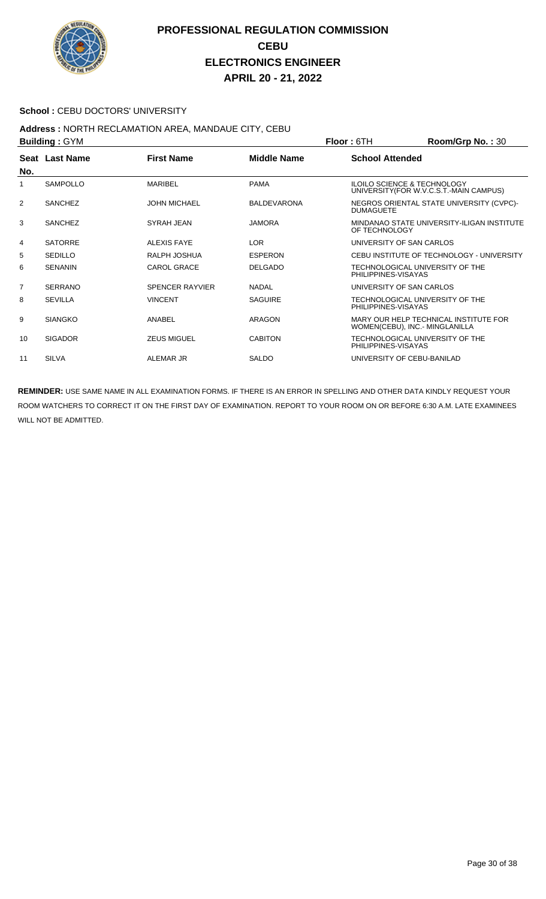

#### School : CEBU DOCTORS' UNIVERSITY

## **Address :** NORTH RECLAMATION AREA, MANDAUE CITY, CEBU

| <b>Building: GYM</b> |                 |                        |                    | Room/Grp No.: 30<br><b>Floor: 6TH</b>                                             |
|----------------------|-----------------|------------------------|--------------------|-----------------------------------------------------------------------------------|
| No.                  | Seat Last Name  | <b>First Name</b>      | <b>Middle Name</b> | <b>School Attended</b>                                                            |
| 1                    | <b>SAMPOLLO</b> | MARIBEL                | <b>PAMA</b>        | <b>ILOILO SCIENCE &amp; TECHNOLOGY</b><br>UNIVERSITY (FOR W.V.C.S.T.-MAIN CAMPUS) |
| 2                    | <b>SANCHEZ</b>  | <b>JOHN MICHAEL</b>    | <b>BALDEVARONA</b> | NEGROS ORIENTAL STATE UNIVERSITY (CVPC)-<br><b>DUMAGUETE</b>                      |
| 3                    | <b>SANCHEZ</b>  | SYRAH JEAN             | <b>JAMORA</b>      | MINDANAO STATE UNIVERSITY-ILIGAN INSTITUTE<br>OF TECHNOLOGY                       |
| 4                    | <b>SATORRE</b>  | ALEXIS FAYE            | <b>LOR</b>         | UNIVERSITY OF SAN CARLOS                                                          |
| 5                    | SEDILLO         | RALPH JOSHUA           | <b>ESPERON</b>     | CEBU INSTITUTE OF TECHNOLOGY - UNIVERSITY                                         |
| 6                    | <b>SENANIN</b>  | <b>CAROL GRACE</b>     | <b>DELGADO</b>     | TECHNOLOGICAL UNIVERSITY OF THE<br>PHILIPPINES-VISAYAS                            |
| $\overline{7}$       | <b>SERRANO</b>  | <b>SPENCER RAYVIER</b> | <b>NADAL</b>       | UNIVERSITY OF SAN CARLOS                                                          |
| 8                    | <b>SEVILLA</b>  | <b>VINCENT</b>         | <b>SAGUIRE</b>     | TECHNOLOGICAL UNIVERSITY OF THE<br>PHILIPPINES-VISAYAS                            |
| 9                    | <b>SIANGKO</b>  | ANABEL                 | <b>ARAGON</b>      | MARY OUR HELP TECHNICAL INSTITUTE FOR<br>WOMEN(CEBU), INC.- MINGLANILLA           |
| 10                   | <b>SIGADOR</b>  | <b>ZEUS MIGUEL</b>     | <b>CABITON</b>     | TECHNOLOGICAL UNIVERSITY OF THE<br>PHILIPPINES-VISAYAS                            |
| 11                   | <b>SILVA</b>    | ALEMAR JR              | <b>SALDO</b>       | UNIVERSITY OF CEBU-BANILAD                                                        |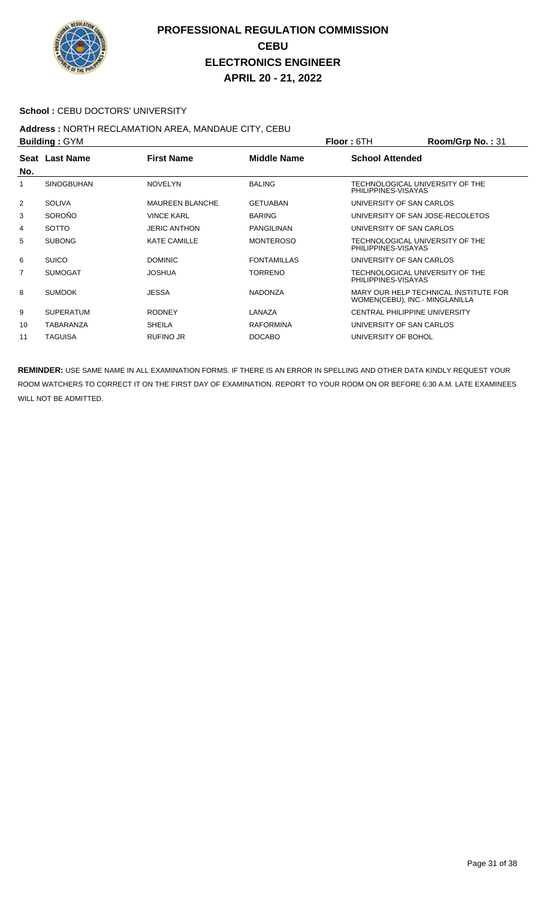

#### School : CEBU DOCTORS' UNIVERSITY

# **Address : NORTH RECLAMATION AREA, MANDAUE CITY, CEBU<br>Building : CYM**

| <b>Building: GYM</b> |                   |                        | <b>Floor: 6TH</b>  | Room/Grp No.: 31         |                                                                         |
|----------------------|-------------------|------------------------|--------------------|--------------------------|-------------------------------------------------------------------------|
| No.                  | Seat Last Name    | <b>First Name</b>      | <b>Middle Name</b> | <b>School Attended</b>   |                                                                         |
|                      | <b>SINOGBUHAN</b> | <b>NOVELYN</b>         | <b>BALING</b>      | PHILIPPINES-VISAYAS      | TECHNOLOGICAL UNIVERSITY OF THE                                         |
| 2                    | <b>SOLIVA</b>     | <b>MAUREEN BLANCHE</b> | <b>GETUABAN</b>    | UNIVERSITY OF SAN CARLOS |                                                                         |
| 3                    | SOROÑO            | <b>VINCE KARL</b>      | <b>BARING</b>      |                          | UNIVERSITY OF SAN JOSE-RECOLETOS                                        |
| 4                    | <b>SOTTO</b>      | <b>JERIC ANTHON</b>    | PANGILINAN         | UNIVERSITY OF SAN CARLOS |                                                                         |
| 5                    | <b>SUBONG</b>     | <b>KATE CAMILLE</b>    | <b>MONTEROSO</b>   | PHILIPPINES-VISAYAS      | TECHNOLOGICAL UNIVERSITY OF THE                                         |
| 6                    | <b>SUICO</b>      | <b>DOMINIC</b>         | <b>FONTAMILLAS</b> | UNIVERSITY OF SAN CARLOS |                                                                         |
| 7                    | <b>SUMOGAT</b>    | <b>JOSHUA</b>          | TORRENO            | PHILIPPINES-VISAYAS      | TECHNOLOGICAL UNIVERSITY OF THE                                         |
| 8                    | <b>SUMOOK</b>     | <b>JESSA</b>           | <b>NADONZA</b>     |                          | MARY OUR HELP TECHNICAL INSTITUTE FOR<br>WOMEN(CEBU), INC.- MINGLANILLA |
| 9                    | <b>SUPERATUM</b>  | <b>RODNEY</b>          | LANAZA             |                          | <b>CENTRAL PHILIPPINE UNIVERSITY</b>                                    |
| 10                   | TABARANZA         | <b>SHEILA</b>          | <b>RAFORMINA</b>   | UNIVERSITY OF SAN CARLOS |                                                                         |
| 11                   | <b>TAGUISA</b>    | <b>RUFINO JR</b>       | <b>DOCABO</b>      | UNIVERSITY OF BOHOL      |                                                                         |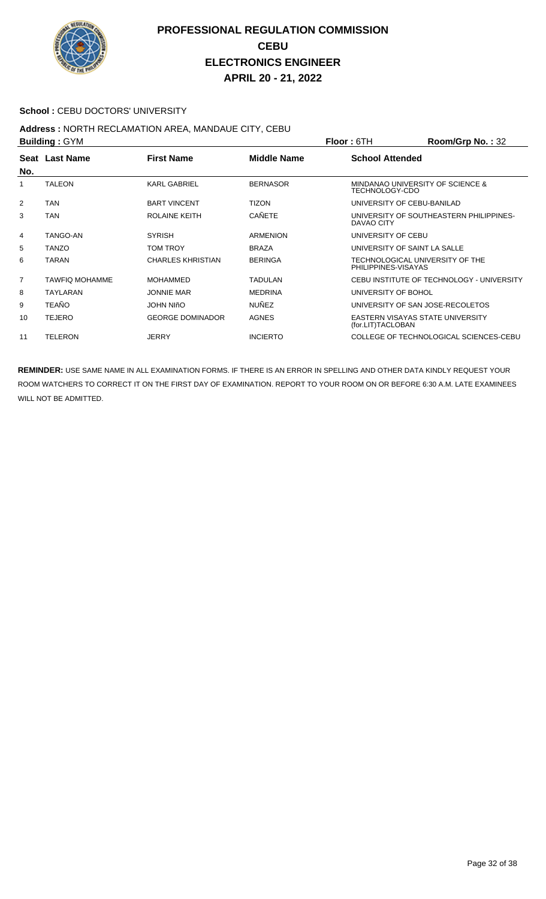

#### School : CEBU DOCTORS' UNIVERSITY

## **Address :** NORTH RECLAMATION AREA, MANDAUE CITY, CEBU

|                | <b>Building: GYM</b>  |                          |                    | Floor: 6TH             | Room/Grp No.: 32                          |
|----------------|-----------------------|--------------------------|--------------------|------------------------|-------------------------------------------|
|                | Seat Last Name        | <b>First Name</b>        | <b>Middle Name</b> | <b>School Attended</b> |                                           |
| No.            |                       |                          |                    |                        |                                           |
|                | <b>TALEON</b>         | <b>KARL GABRIEL</b>      | <b>BERNASOR</b>    | TECHNOLOGY-CDO         | MINDANAO UNIVERSITY OF SCIENCE &          |
| $\overline{2}$ | <b>TAN</b>            | <b>BART VINCENT</b>      | <b>TIZON</b>       |                        | UNIVERSITY OF CEBU-BANILAD                |
| 3              | <b>TAN</b>            | ROLAINE KEITH            | CAÑETE             | DAVAO CITY             | UNIVERSITY OF SOUTHEASTERN PHILIPPINES-   |
| 4              | TANGO-AN              | <b>SYRISH</b>            | <b>ARMENION</b>    | UNIVERSITY OF CEBU     |                                           |
| 5              | <b>TANZO</b>          | <b>TOM TROY</b>          | <b>BRAZA</b>       |                        | UNIVERSITY OF SAINT LA SALLE              |
| 6              | <b>TARAN</b>          | <b>CHARLES KHRISTIAN</b> | <b>BERINGA</b>     | PHILIPPINES-VISAYAS    | TECHNOLOGICAL UNIVERSITY OF THE           |
| $\overline{7}$ | <b>TAWFIQ MOHAMME</b> | <b>MOHAMMED</b>          | TADULAN            |                        | CEBU INSTITUTE OF TECHNOLOGY - UNIVERSITY |
| 8              | <b>TAYLARAN</b>       | <b>JONNIE MAR</b>        | <b>MEDRINA</b>     | UNIVERSITY OF BOHOL    |                                           |
| 9              | <b>TEAÑO</b>          | <b>JOHN NIÑO</b>         | <b>NUÑEZ</b>       |                        | UNIVERSITY OF SAN JOSE-RECOLETOS          |
| 10             | <b>TEJERO</b>         | <b>GEORGE DOMINADOR</b>  | <b>AGNES</b>       | (for.LIT)TACLOBAN      | EASTERN VISAYAS STATE UNIVERSITY          |
| 11             | <b>TELERON</b>        | <b>JERRY</b>             | <b>INCIERTO</b>    |                        | COLLEGE OF TECHNOLOGICAL SCIENCES-CEBU    |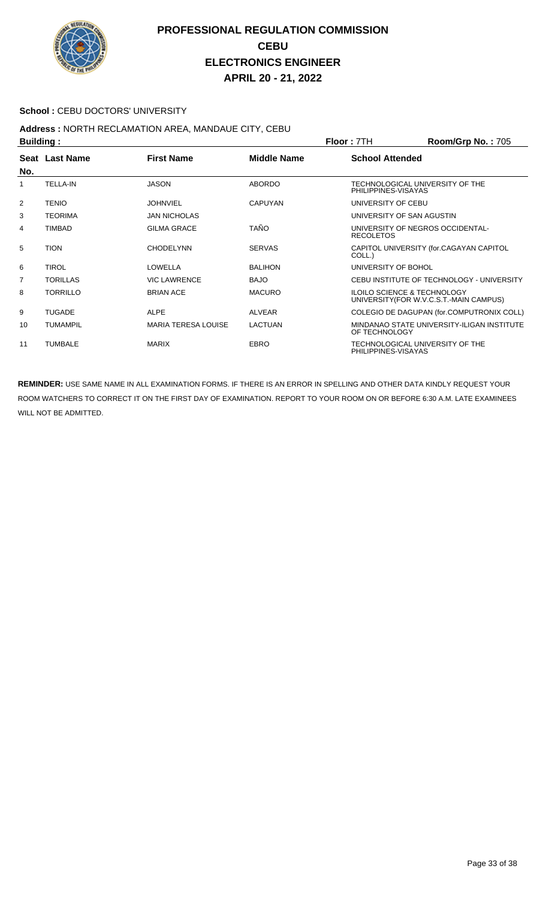

#### School : CEBU DOCTORS' UNIVERSITY

## **Address :** NORTH RECLAMATION AREA, MANDAUE CITY, CEBU

| <b>Building:</b> |                       |                            |                    | <b>Floor: 7TH</b>         | <b>Room/Grp No.: 705</b>                                                          |  |
|------------------|-----------------------|----------------------------|--------------------|---------------------------|-----------------------------------------------------------------------------------|--|
| No.              | <b>Seat Last Name</b> | <b>First Name</b>          | <b>Middle Name</b> | <b>School Attended</b>    |                                                                                   |  |
| 1                | <b>TELLA-IN</b>       | <b>JASON</b>               | <b>ABORDO</b>      | PHILIPPINES-VISAYAS       | TECHNOLOGICAL UNIVERSITY OF THE                                                   |  |
| $\overline{2}$   | <b>TENIO</b>          | <b>JOHNVIEL</b>            | <b>CAPUYAN</b>     | UNIVERSITY OF CEBU        |                                                                                   |  |
| 3                | <b>TEORIMA</b>        | <b>JAN NICHOLAS</b>        |                    | UNIVERSITY OF SAN AGUSTIN |                                                                                   |  |
| 4                | <b>TIMBAD</b>         | <b>GILMA GRACE</b>         | <b>TAÑO</b>        | <b>RECOLETOS</b>          | UNIVERSITY OF NEGROS OCCIDENTAL-                                                  |  |
| 5                | <b>TION</b>           | <b>CHODELYNN</b>           | <b>SERVAS</b>      | COLL.)                    | CAPITOL UNIVERSITY (for.CAGAYAN CAPITOL                                           |  |
| 6                | <b>TIROL</b>          | LOWELLA                    | <b>BALIHON</b>     | UNIVERSITY OF BOHOL       |                                                                                   |  |
| 7                | <b>TORILLAS</b>       | <b>VIC LAWRENCE</b>        | <b>BAJO</b>        |                           | CEBU INSTITUTE OF TECHNOLOGY - UNIVERSITY                                         |  |
| 8                | <b>TORRILLO</b>       | <b>BRIAN ACE</b>           | <b>MACURO</b>      |                           | <b>ILOILO SCIENCE &amp; TECHNOLOGY</b><br>UNIVERSITY (FOR W.V.C.S.T.-MAIN CAMPUS) |  |
| 9                | <b>TUGADE</b>         | <b>ALPE</b>                | <b>ALVEAR</b>      |                           | COLEGIO DE DAGUPAN (for.COMPUTRONIX COLL)                                         |  |
| 10               | <b>TUMAMPIL</b>       | <b>MARIA TERESA LOUISE</b> | <b>LACTUAN</b>     | OF TECHNOLOGY             | MINDANAO STATE UNIVERSITY-ILIGAN INSTITUTE                                        |  |
| 11               | <b>TUMBALE</b>        | <b>MARIX</b>               | EBRO               | PHILIPPINES-VISAYAS       | TECHNOLOGICAL UNIVERSITY OF THE                                                   |  |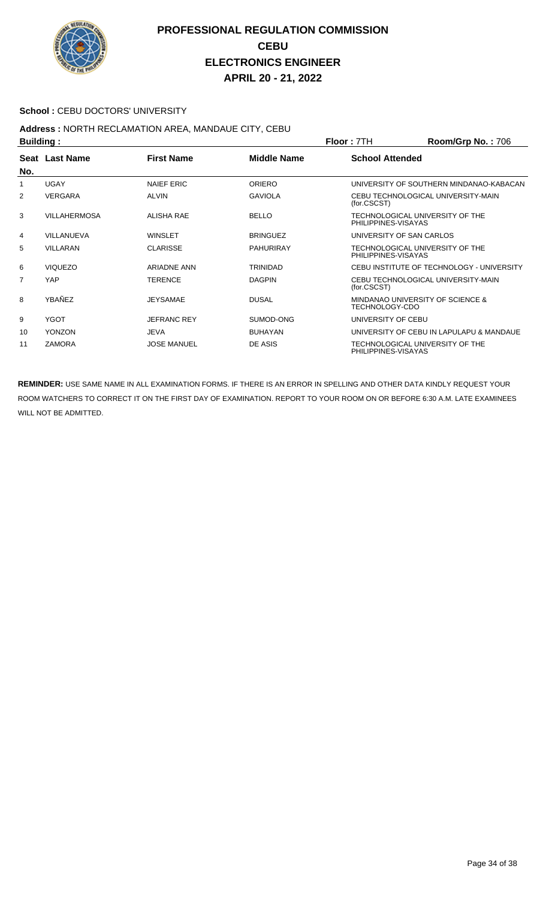

#### School : CEBU DOCTORS' UNIVERSITY

### **Address :** NORTH RECLAMATION AREA, MANDAUE CITY, CEBU

| <b>Building:</b> |                     |                    |                    | <b>Floor: 7TH</b>      | <b>Room/Grp No.: 706</b>                    |
|------------------|---------------------|--------------------|--------------------|------------------------|---------------------------------------------|
| No.              | Seat Last Name      | <b>First Name</b>  | <b>Middle Name</b> | <b>School Attended</b> |                                             |
| 1                | <b>UGAY</b>         | <b>NAIEF ERIC</b>  | <b>ORIERO</b>      |                        | UNIVERSITY OF SOUTHERN MINDANAO-KABACAN     |
| 2                | <b>VERGARA</b>      | <b>ALVIN</b>       | <b>GAVIOLA</b>     | (for.CSCST)            | CEBU TECHNOLOGICAL UNIVERSITY-MAIN          |
| 3                | <b>VILLAHERMOSA</b> | <b>ALISHA RAE</b>  | <b>BELLO</b>       | PHILIPPINES-VISAYAS    | TECHNOLOGICAL UNIVERSITY OF THE             |
| 4                | VILLANUEVA          | <b>WINSLET</b>     | <b>BRINGUEZ</b>    |                        | UNIVERSITY OF SAN CARLOS                    |
| 5                | <b>VILLARAN</b>     | <b>CLARISSE</b>    | <b>PAHURIRAY</b>   | PHILIPPINES-VISAYAS    | TECHNOLOGICAL UNIVERSITY OF THE             |
| 6                | <b>VIQUEZO</b>      | <b>ARIADNE ANN</b> | <b>TRINIDAD</b>    |                        | CEBU INSTITUTE OF TECHNOLOGY - UNIVERSITY   |
| 7                | <b>YAP</b>          | <b>TERENCE</b>     | <b>DAGPIN</b>      | (for.CSCST)            | CEBU TECHNOLOGICAL UNIVERSITY-MAIN          |
| 8                | YBAÑEZ              | <b>JEYSAMAE</b>    | <b>DUSAL</b>       | TECHNOLOGY-CDO         | <b>MINDANAO UNIVERSITY OF SCIENCE &amp;</b> |
| 9                | <b>YGOT</b>         | <b>JEFRANC REY</b> | SUMOD-ONG          | UNIVERSITY OF CEBU     |                                             |
| 10               | <b>YONZON</b>       | <b>JEVA</b>        | <b>BUHAYAN</b>     |                        | UNIVERSITY OF CEBU IN LAPULAPU & MANDAUE    |
| 11               | <b>ZAMORA</b>       | <b>JOSE MANUEL</b> | DE ASIS            | PHILIPPINES-VISAYAS    | TECHNOLOGICAL UNIVERSITY OF THE             |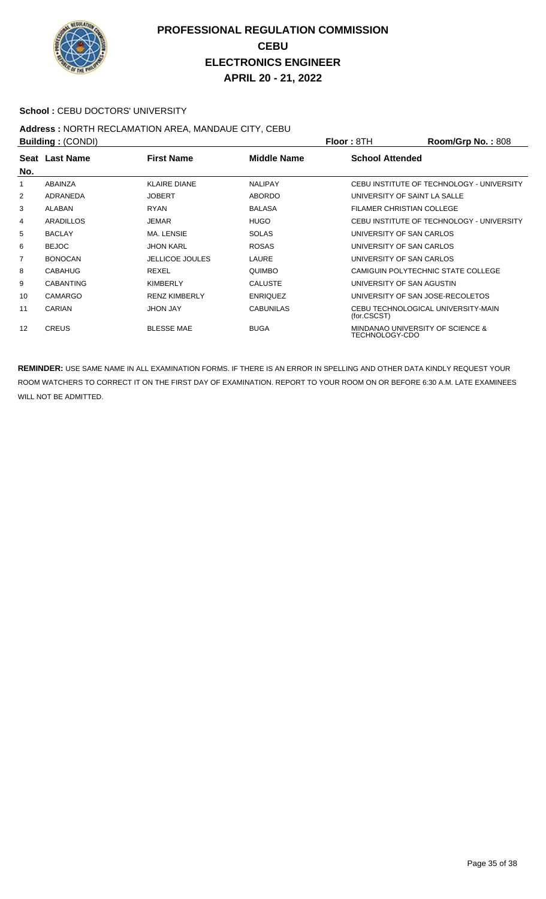

#### School : CEBU DOCTORS' UNIVERSITY

## **Address :** NORTH RECLAMATION AREA, MANDAUE CITY, CEBU

| <b>Building: (CONDI)</b> |                  |                        | Floor: 8TH         | Room/Grp No.: 808                |                                           |
|--------------------------|------------------|------------------------|--------------------|----------------------------------|-------------------------------------------|
| No.                      | Seat Last Name   | <b>First Name</b>      | <b>Middle Name</b> | <b>School Attended</b>           |                                           |
| 1                        | ABAINZA          | <b>KLAIRE DIANE</b>    | <b>NALIPAY</b>     |                                  | CEBU INSTITUTE OF TECHNOLOGY - UNIVERSITY |
| 2                        | ADRANEDA         | <b>JOBERT</b>          | <b>ABORDO</b>      |                                  | UNIVERSITY OF SAINT LA SALLE              |
| 3                        | ALABAN           | <b>RYAN</b>            | <b>BALASA</b>      | <b>FILAMER CHRISTIAN COLLEGE</b> |                                           |
| 4                        | ARADILLOS        | <b>JEMAR</b>           | <b>HUGO</b>        |                                  | CEBU INSTITUTE OF TECHNOLOGY - UNIVERSITY |
| 5                        | <b>BACLAY</b>    | <b>MA. LENSIE</b>      | <b>SOLAS</b>       | UNIVERSITY OF SAN CARLOS         |                                           |
| 6                        | <b>BEJOC</b>     | <b>JHON KARL</b>       | <b>ROSAS</b>       | UNIVERSITY OF SAN CARLOS         |                                           |
| $\overline{7}$           | <b>BONOCAN</b>   | <b>JELLICOE JOULES</b> | LAURE              | UNIVERSITY OF SAN CARLOS         |                                           |
| 8                        | <b>CABAHUG</b>   | <b>REXEL</b>           | <b>QUIMBO</b>      |                                  | CAMIGUIN POLYTECHNIC STATE COLLEGE        |
| 9                        | <b>CABANTING</b> | KIMBERLY               | <b>CALUSTE</b>     | UNIVERSITY OF SAN AGUSTIN        |                                           |
| 10                       | <b>CAMARGO</b>   | <b>RENZ KIMBERLY</b>   | <b>ENRIQUEZ</b>    |                                  | UNIVERSITY OF SAN JOSE-RECOLETOS          |
| 11                       | CARIAN           | <b>JHON JAY</b>        | <b>CABUNILAS</b>   | (for.CSCST)                      | CEBU TECHNOLOGICAL UNIVERSITY-MAIN        |
| 12                       | <b>CREUS</b>     | <b>BLESSE MAE</b>      | <b>BUGA</b>        | TECHNOLOGY-CDO                   | MINDANAO UNIVERSITY OF SCIENCE &          |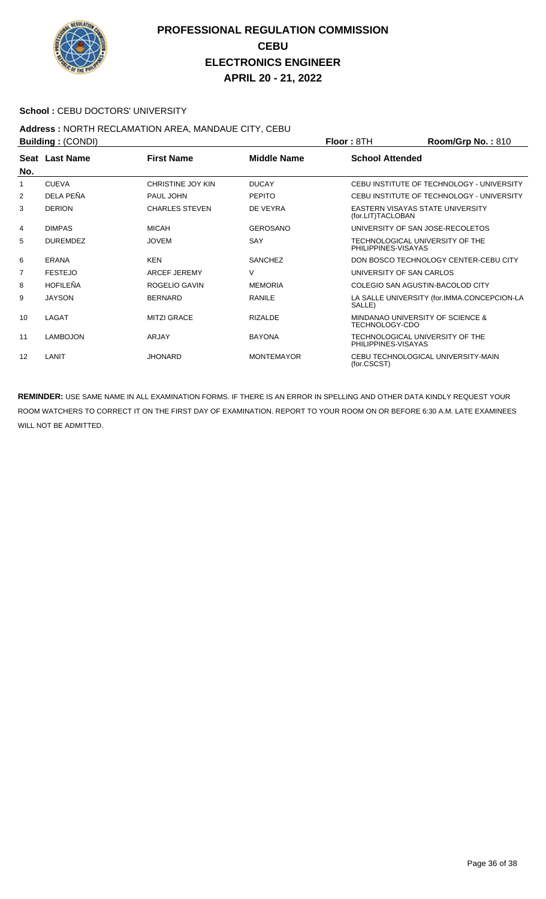

#### **School : CEBU DOCTORS' UNIVERSITY**

## **Address :** NORTH RECLAMATION AREA, MANDAUE CITY, CEBU

| Building: (CONDI) |                       |                       |                   | <b>Floor: 8TH</b>                                      | Room/Grp No.: 810                           |
|-------------------|-----------------------|-----------------------|-------------------|--------------------------------------------------------|---------------------------------------------|
| No.               | <b>Seat Last Name</b> | <b>First Name</b>     | Middle Name       | <b>School Attended</b>                                 |                                             |
| 1                 | <b>CUEVA</b>          | CHRISTINE JOY KIN     | <b>DUCAY</b>      |                                                        | CEBU INSTITUTE OF TECHNOLOGY - UNIVERSITY   |
| 2                 | DELA PEÑA             | PAUL JOHN             | <b>PEPITO</b>     |                                                        | CEBU INSTITUTE OF TECHNOLOGY - UNIVERSITY   |
| 3                 | <b>DERION</b>         | <b>CHARLES STEVEN</b> | DE VEYRA          | EASTERN VISAYAS STATE UNIVERSITY<br>(for.LIT)TACLOBAN  |                                             |
| 4                 | <b>DIMPAS</b>         | <b>MICAH</b>          | <b>GEROSANO</b>   | UNIVERSITY OF SAN JOSE-RECOLETOS                       |                                             |
| 5                 | <b>DUREMDEZ</b>       | <b>JOVEM</b>          | SAY               | TECHNOLOGICAL UNIVERSITY OF THE<br>PHILIPPINES-VISAYAS |                                             |
| 6                 | ERANA                 | <b>KEN</b>            | <b>SANCHEZ</b>    |                                                        | DON BOSCO TECHNOLOGY CENTER-CEBU CITY       |
| 7                 | <b>FESTEJO</b>        | <b>ARCEF JEREMY</b>   | V                 | UNIVERSITY OF SAN CARLOS                               |                                             |
| 8                 | <b>HOFILEÑA</b>       | ROGELIO GAVIN         | <b>MEMORIA</b>    | COLEGIO SAN AGUSTIN-BACOLOD CITY                       |                                             |
| 9                 | <b>JAYSON</b>         | <b>BERNARD</b>        | <b>RANILE</b>     | SALLE)                                                 | LA SALLE UNIVERSITY (for.IMMA.CONCEPCION-LA |
| 10                | LAGAT                 | <b>MITZI GRACE</b>    | <b>RIZALDE</b>    | MINDANAO UNIVERSITY OF SCIENCE &<br>TECHNOLOGY-CDO     |                                             |
| 11                | <b>LAMBOJON</b>       | <b>ARJAY</b>          | <b>BAYONA</b>     | TECHNOLOGICAL UNIVERSITY OF THE<br>PHILIPPINES-VISAYAS |                                             |
| 12                | LANIT                 | <b>JHONARD</b>        | <b>MONTEMAYOR</b> | (for.CSCST)                                            | CEBU TECHNOLOGICAL UNIVERSITY-MAIN          |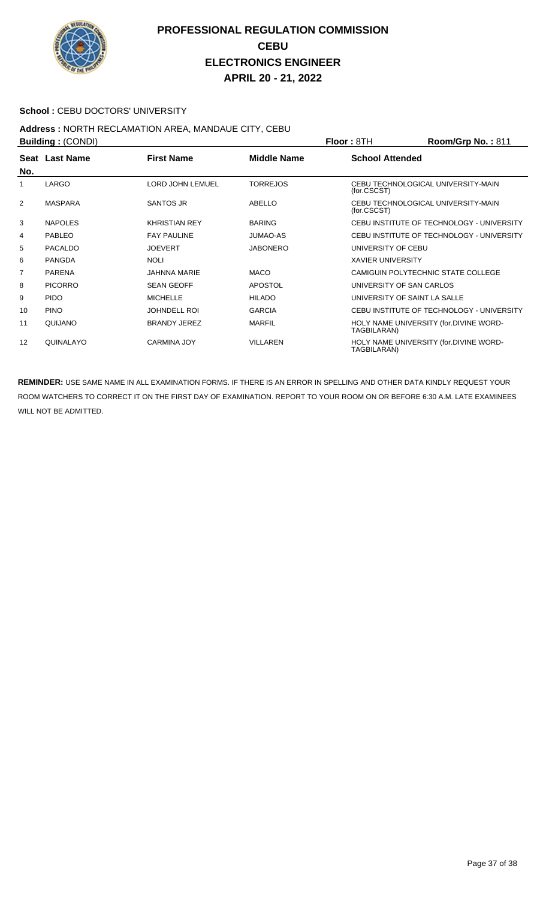

#### School : CEBU DOCTORS' UNIVERSITY

#### **Address :** NORTH RECLAMATION AREA, MANDAUE CITY, CEBU **Building :** (CONDI) **Floor :** 8TH **Room/Grp No. :** 811

|                | P              |                      | FIUUI.OIN       | <b>RUUIIIUUID NU.</b> . 011 |                                           |
|----------------|----------------|----------------------|-----------------|-----------------------------|-------------------------------------------|
| No.            | Seat Last Name | <b>First Name</b>    | Middle Name     | <b>School Attended</b>      |                                           |
| 1              | LARGO          | LORD JOHN LEMUEL     | <b>TORREJOS</b> | (for.CSCST)                 | CEBU TECHNOLOGICAL UNIVERSITY-MAIN        |
| 2              | <b>MASPARA</b> | SANTOS JR            | ABELLO          | (for.CSCST)                 | CEBU TECHNOLOGICAL UNIVERSITY-MAIN        |
| 3              | <b>NAPOLES</b> | <b>KHRISTIAN REY</b> | <b>BARING</b>   |                             | CEBU INSTITUTE OF TECHNOLOGY - UNIVERSITY |
| 4              | <b>PABLEO</b>  | <b>FAY PAULINE</b>   | <b>JUMAO-AS</b> |                             | CEBU INSTITUTE OF TECHNOLOGY - UNIVERSITY |
| 5              | <b>PACALDO</b> | <b>JOEVERT</b>       | <b>JABONERO</b> | UNIVERSITY OF CEBU          |                                           |
| 6              | <b>PANGDA</b>  | <b>NOLI</b>          |                 | <b>XAVIER UNIVERSITY</b>    |                                           |
| $\overline{7}$ | <b>PARENA</b>  | <b>JAHNNA MARIE</b>  | <b>MACO</b>     |                             | CAMIGUIN POLYTECHNIC STATE COLLEGE        |
| 8              | <b>PICORRO</b> | <b>SEAN GEOFF</b>    | <b>APOSTOL</b>  | UNIVERSITY OF SAN CARLOS    |                                           |
| 9              | <b>PIDO</b>    | <b>MICHELLE</b>      | <b>HILADO</b>   |                             | UNIVERSITY OF SAINT LA SALLE              |
| 10             | <b>PINO</b>    | <b>JOHNDELL ROI</b>  | <b>GARCIA</b>   |                             | CEBU INSTITUTE OF TECHNOLOGY - UNIVERSITY |
| 11             | QUIJANO        | <b>BRANDY JEREZ</b>  | <b>MARFIL</b>   | TAGBILARAN)                 | HOLY NAME UNIVERSITY (for.DIVINE WORD-    |
| 12             | QUINALAYO      | <b>CARMINA JOY</b>   | <b>VILLAREN</b> | TAGBILARAN)                 | HOLY NAME UNIVERSITY (for.DIVINE WORD-    |